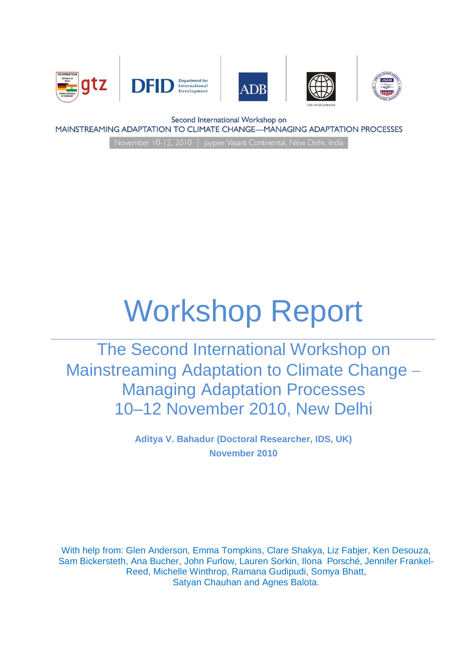





Second International Workshop on

MAINSTREAMING ADAPTATION TO CLIMATE CHANGE-MANAGING ADAPTATION PROCESSES

# Workshop Report

The Second International Workshop on Mainstreaming Adaptation to Climate Change -Managing Adaptation Processes 10–12 November 2010, New Delhi

> **Aditya V. Bahadur (Doctoral Researcher, IDS, UK) November 2010**

With help from: Glen Anderson, Emma Tompkins, Clare Shakya, Liz Fabjer, Ken Desouza, Sam Bickersteth, Ana Bucher, John Furlow, Lauren Sorkin, Ilona Porsché, Jennifer Frankel-Reed, Michelle Winthrop, Ramana Gudipudi, Somya Bhatt, Satyan Chauhan and Agnes Balota.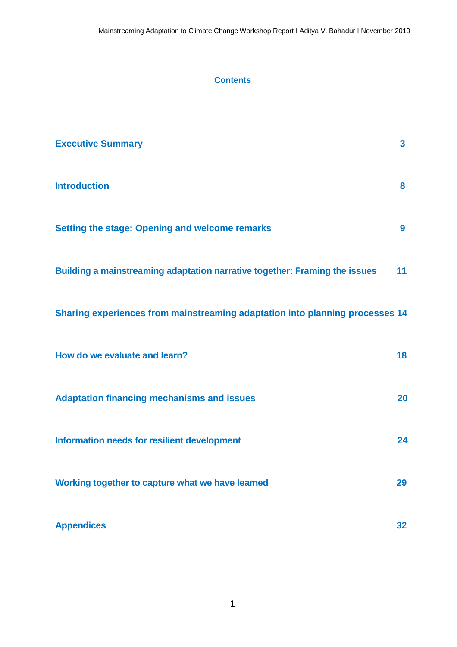## **Contents**

| <b>Executive Summary</b>                                                     | $\mathbf{3}$     |
|------------------------------------------------------------------------------|------------------|
| <b>Introduction</b>                                                          | 8                |
| <b>Setting the stage: Opening and welcome remarks</b>                        | $\boldsymbol{9}$ |
| Building a mainstreaming adaptation narrative together: Framing the issues   | 11               |
| Sharing experiences from mainstreaming adaptation into planning processes 14 |                  |
| How do we evaluate and learn?                                                | 18               |
| <b>Adaptation financing mechanisms and issues</b>                            | 20               |
| Information needs for resilient development                                  | 24               |
| Working together to capture what we have learned                             | 29               |
| <b>Appendices</b>                                                            | 32               |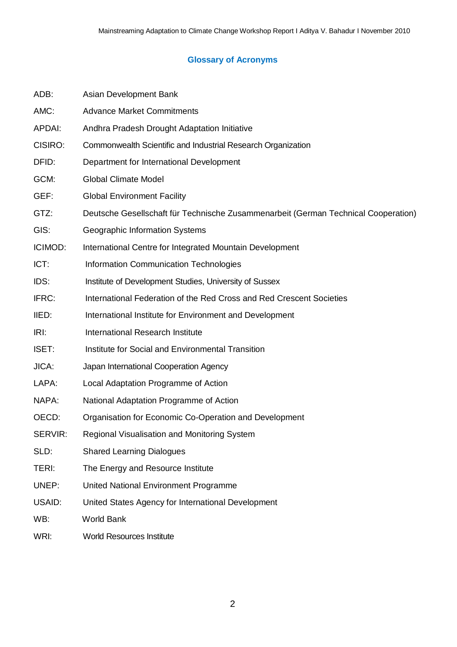# **Glossary of Acronyms**

| ADB:          | Asian Development Bank                                                             |  |  |  |
|---------------|------------------------------------------------------------------------------------|--|--|--|
| AMC:          | <b>Advance Market Commitments</b>                                                  |  |  |  |
| <b>APDAI:</b> | Andhra Pradesh Drought Adaptation Initiative                                       |  |  |  |
| CISIRO:       | Commonwealth Scientific and Industrial Research Organization                       |  |  |  |
| DFID:         | Department for International Development                                           |  |  |  |
| GCM:          | <b>Global Climate Model</b>                                                        |  |  |  |
| GEF:          | <b>Global Environment Facility</b>                                                 |  |  |  |
| GTZ:          | Deutsche Gesellschaft für Technische Zusammenarbeit (German Technical Cooperation) |  |  |  |
| GIS:          | Geographic Information Systems                                                     |  |  |  |
| ICIMOD:       | International Centre for Integrated Mountain Development                           |  |  |  |
| ICT:          | <b>Information Communication Technologies</b>                                      |  |  |  |
| IDS:          | Institute of Development Studies, University of Sussex                             |  |  |  |
| IFRC:         | International Federation of the Red Cross and Red Crescent Societies               |  |  |  |
| IIED:         | International Institute for Environment and Development                            |  |  |  |
| IRL           | International Research Institute                                                   |  |  |  |
| ISET:         | Institute for Social and Environmental Transition                                  |  |  |  |
| JICA:         | Japan International Cooperation Agency                                             |  |  |  |
| LAPA:         | Local Adaptation Programme of Action                                               |  |  |  |
| NAPA:         | National Adaptation Programme of Action                                            |  |  |  |
| OECD:         | Organisation for Economic Co-Operation and Development                             |  |  |  |
| SERVIR:       | Regional Visualisation and Monitoring System                                       |  |  |  |
| SLD:          | <b>Shared Learning Dialogues</b>                                                   |  |  |  |
| TERI:         | The Energy and Resource Institute                                                  |  |  |  |
| UNEP:         | United National Environment Programme                                              |  |  |  |
| USAID:        | United States Agency for International Development                                 |  |  |  |
| WB:           | World Bank                                                                         |  |  |  |
|               |                                                                                    |  |  |  |

WRI: World Resources Institute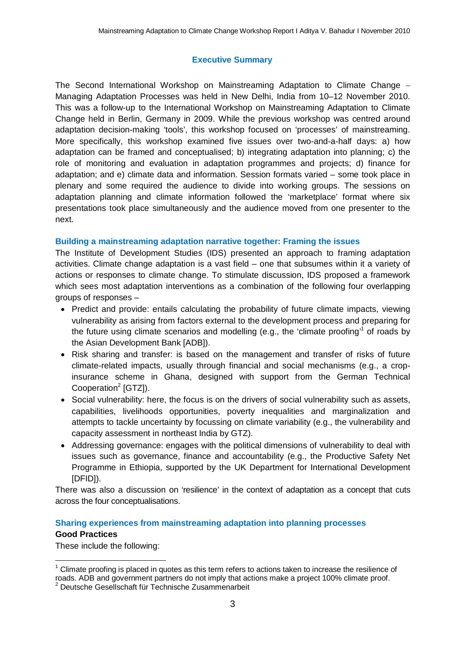# **Executive Summary**

The Second International Workshop on Mainstreaming Adaptation to Climate Change Managing Adaptation Processes was held in New Delhi, India from 10–12 November 2010. This was a follow-up to the International Workshop on Mainstreaming Adaptation to Climate Change held in Berlin, Germany in 2009. While the previous workshop was centred around adaptation decision-making 'tools', this workshop focused on 'processes' of mainstreaming. More specifically, this workshop examined five issues over two-and-a-half days: a) how adaptation can be framed and conceptualised; b) integrating adaptation into planning; c) the role of monitoring and evaluation in adaptation programmes and projects; d) finance for adaptation; and e) climate data and information. Session formats varied – some took place in plenary and some required the audience to divide into working groups. The sessions on adaptation planning and climate information followed the 'marketplace' format where six presentations took place simultaneously and the audience moved from one presenter to the next.

## **Building a mainstreaming adaptation narrative together: Framing the issues**

The Institute of Development Studies (IDS) presented an approach to framing adaptation activities. Climate change adaptation is a vast field – one that subsumes within it a variety of actions or responses to climate change. To stimulate discussion, IDS proposed a framework which sees most adaptation interventions as a combination of the following four overlapping groups of responses –

- Predict and provide: entails calculating the probability of future climate impacts, viewing vulnerability as arising from factors external to the development process and preparing for the future using climate scenarios and modelling (e.g., the 'climate proofing'<sup>1</sup> of roads by the Asian Development Bank [ADB]).
- Risk sharing and transfer: is based on the management and transfer of risks of future climate-related impacts, usually through financial and social mechanisms (e.g., a cropinsurance scheme in Ghana, designed with support from the German Technical Cooperation<sup>2</sup> [GTZ]).
- Social vulnerability: here, the focus is on the drivers of social vulnerability such as assets, capabilities, livelihoods opportunities, poverty inequalities and marginalization and attempts to tackle uncertainty by focussing on climate variability (e.g., the vulnerability and capacity assessment in northeast India by GTZ).
- Addressing governance: engages with the political dimensions of vulnerability to deal with issues such as governance, finance and accountability (e.g., the Productive Safety Net Programme in Ethiopia, supported by the UK Department for International Development [DFID]).

There was also a discussion on 'resilience' in the context of adaptation as a concept that cuts across the four conceptualisations.

## **Sharing experiences from mainstreaming adaptation into planning processes**

#### **Good Practices**

These include the following:

 $\overline{\phantom{a}}$ 1 Climate proofing is placed in quotes as this term refers to actions taken to increase the resilience of roads. ADB and government partners do not imply that actions make a project 100% climate proof.

<sup>2</sup> Deutsche Gesellschaft für Technische Zusammenarbeit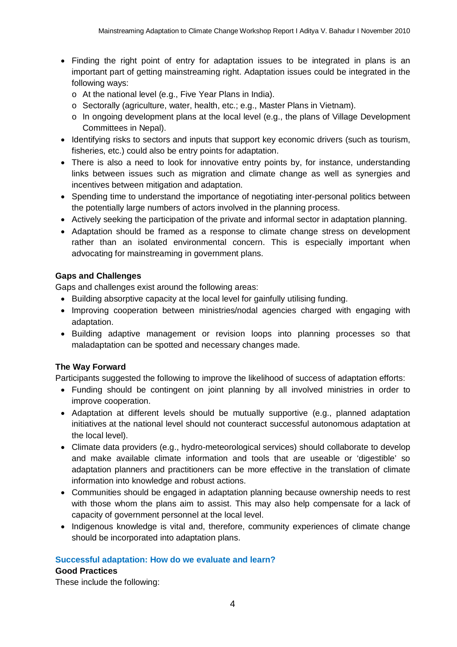- Finding the right point of entry for adaptation issues to be integrated in plans is an important part of getting mainstreaming right. Adaptation issues could be integrated in the following ways:
	- o At the national level (e.g., Five Year Plans in India).
	- o Sectorally (agriculture, water, health, etc.; e.g., Master Plans in Vietnam).
	- $\circ$  In ongoing development plans at the local level (e.g., the plans of Village Development Committees in Nepal).
- Identifying risks to sectors and inputs that support key economic drivers (such as tourism, fisheries, etc.) could also be entry points for adaptation.
- There is also a need to look for innovative entry points by, for instance, understanding links between issues such as migration and climate change as well as synergies and incentives between mitigation and adaptation.
- Spending time to understand the importance of negotiating inter-personal politics between the potentially large numbers of actors involved in the planning process.
- Actively seeking the participation of the private and informal sector in adaptation planning.
- Adaptation should be framed as a response to climate change stress on development rather than an isolated environmental concern. This is especially important when advocating for mainstreaming in government plans.

## **Gaps and Challenges**

Gaps and challenges exist around the following areas:

- Building absorptive capacity at the local level for gainfully utilising funding.
- Improving cooperation between ministries/nodal agencies charged with engaging with adaptation.
- Building adaptive management or revision loops into planning processes so that maladaptation can be spotted and necessary changes made.

#### **The Way Forward**

Participants suggested the following to improve the likelihood of success of adaptation efforts:

- Funding should be contingent on joint planning by all involved ministries in order to improve cooperation.
- Adaptation at different levels should be mutually supportive (e.g., planned adaptation initiatives at the national level should not counteract successful autonomous adaptation at the local level).
- Climate data providers (e.g., hydro-meteorological services) should collaborate to develop and make available climate information and tools that are useable or 'digestible' so adaptation planners and practitioners can be more effective in the translation of climate information into knowledge and robust actions.
- Communities should be engaged in adaptation planning because ownership needs to rest with those whom the plans aim to assist. This may also help compensate for a lack of capacity of government personnel at the local level.
- Indigenous knowledge is vital and, therefore, community experiences of climate change should be incorporated into adaptation plans.

#### **Successful adaptation: How do we evaluate and learn?**

#### **Good Practices**

These include the following: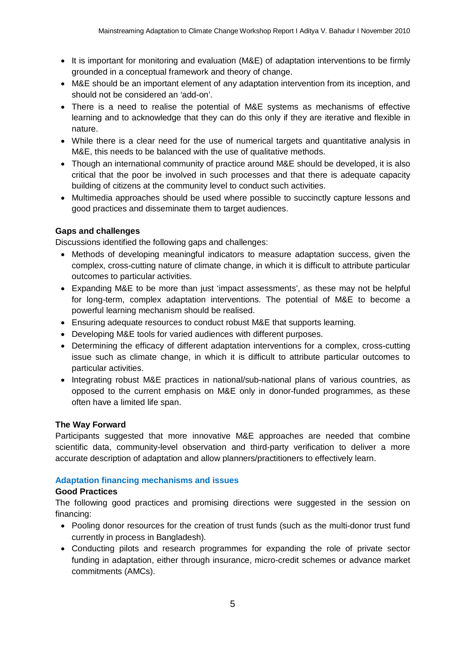- It is important for monitoring and evaluation (M&E) of adaptation interventions to be firmly grounded in a conceptual framework and theory of change.
- M&E should be an important element of any adaptation intervention from its inception, and should not be considered an 'add-on'.
- There is a need to realise the potential of M&E systems as mechanisms of effective learning and to acknowledge that they can do this only if they are iterative and flexible in nature.
- While there is a clear need for the use of numerical targets and quantitative analysis in M&E, this needs to be balanced with the use of qualitative methods.
- Though an international community of practice around M&E should be developed, it is also critical that the poor be involved in such processes and that there is adequate capacity building of citizens at the community level to conduct such activities.
- Multimedia approaches should be used where possible to succinctly capture lessons and good practices and disseminate them to target audiences.

## **Gaps and challenges**

Discussions identified the following gaps and challenges:

- Methods of developing meaningful indicators to measure adaptation success, given the complex, cross-cutting nature of climate change, in which it is difficult to attribute particular outcomes to particular activities.
- Expanding M&E to be more than just 'impact assessments', as these may not be helpful for long-term, complex adaptation interventions. The potential of M&E to become a powerful learning mechanism should be realised.
- Ensuring adequate resources to conduct robust M&E that supports learning.
- Developing M&E tools for varied audiences with different purposes.
- Determining the efficacy of different adaptation interventions for a complex, cross-cutting issue such as climate change, in which it is difficult to attribute particular outcomes to particular activities.
- Integrating robust M&E practices in national/sub-national plans of various countries, as opposed to the current emphasis on M&E only in donor-funded programmes, as these often have a limited life span.

## **The Way Forward**

Participants suggested that more innovative M&E approaches are needed that combine scientific data, community-level observation and third-party verification to deliver a more accurate description of adaptation and allow planners/practitioners to effectively learn.

## **Adaptation financing mechanisms and issues**

## **Good Practices**

The following good practices and promising directions were suggested in the session on financing:

- Pooling donor resources for the creation of trust funds (such as the multi-donor trust fund currently in process in Bangladesh).
- Conducting pilots and research programmes for expanding the role of private sector funding in adaptation, either through insurance, micro-credit schemes or advance market commitments (AMCs).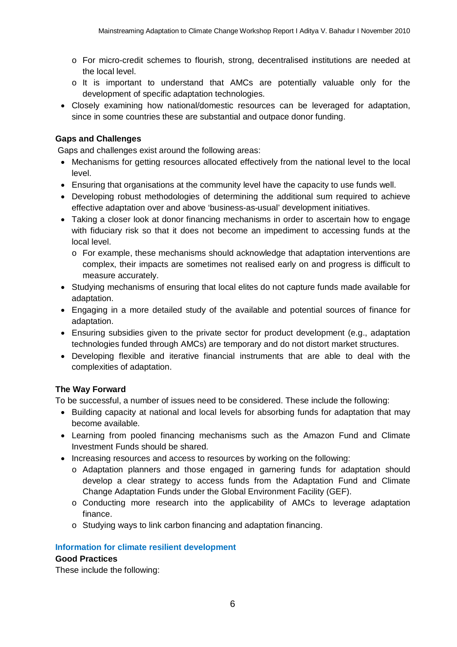- o For micro-credit schemes to flourish, strong, decentralised institutions are needed at the local level.
- o It is important to understand that AMCs are potentially valuable only for the development of specific adaptation technologies.
- Closely examining how national/domestic resources can be leveraged for adaptation, since in some countries these are substantial and outpace donor funding.

## **Gaps and Challenges**

Gaps and challenges exist around the following areas:

- Mechanisms for getting resources allocated effectively from the national level to the local level.
- Ensuring that organisations at the community level have the capacity to use funds well.
- Developing robust methodologies of determining the additional sum required to achieve effective adaptation over and above 'business-as-usual' development initiatives.
- Taking a closer look at donor financing mechanisms in order to ascertain how to engage with fiduciary risk so that it does not become an impediment to accessing funds at the local level.
	- o For example, these mechanisms should acknowledge that adaptation interventions are complex, their impacts are sometimes not realised early on and progress is difficult to measure accurately.
- Studying mechanisms of ensuring that local elites do not capture funds made available for adaptation.
- Engaging in a more detailed study of the available and potential sources of finance for adaptation.
- Ensuring subsidies given to the private sector for product development (e.g., adaptation technologies funded through AMCs) are temporary and do not distort market structures.
- Developing flexible and iterative financial instruments that are able to deal with the complexities of adaptation.

## **The Way Forward**

To be successful, a number of issues need to be considered. These include the following:

- Building capacity at national and local levels for absorbing funds for adaptation that may become available.
- Learning from pooled financing mechanisms such as the Amazon Fund and Climate Investment Funds should be shared.
- Increasing resources and access to resources by working on the following:
	- o Adaptation planners and those engaged in garnering funds for adaptation should develop a clear strategy to access funds from the Adaptation Fund and Climate Change Adaptation Funds under the Global Environment Facility (GEF).
	- o Conducting more research into the applicability of AMCs to leverage adaptation finance.
	- o Studying ways to link carbon financing and adaptation financing.

#### **Information for climate resilient development**

#### **Good Practices**

These include the following: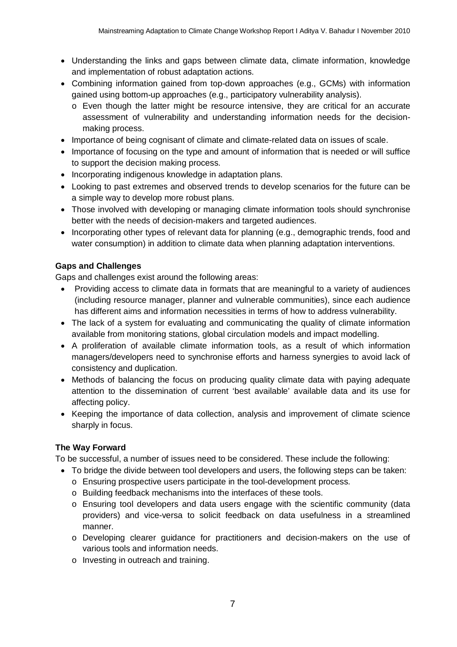- Understanding the links and gaps between climate data, climate information, knowledge and implementation of robust adaptation actions.
- Combining information gained from top-down approaches (e.g., GCMs) with information gained using bottom-up approaches (e.g., participatory vulnerability analysis).
	- o Even though the latter might be resource intensive, they are critical for an accurate assessment of vulnerability and understanding information needs for the decisionmaking process.
- Importance of being cognisant of climate and climate-related data on issues of scale.
- Importance of focusing on the type and amount of information that is needed or will suffice to support the decision making process.
- Incorporating indigenous knowledge in adaptation plans.
- Looking to past extremes and observed trends to develop scenarios for the future can be a simple way to develop more robust plans.
- Those involved with developing or managing climate information tools should synchronise better with the needs of decision-makers and targeted audiences.
- Incorporating other types of relevant data for planning (e.g., demographic trends, food and water consumption) in addition to climate data when planning adaptation interventions.

## **Gaps and Challenges**

Gaps and challenges exist around the following areas:

- Providing access to climate data in formats that are meaningful to a variety of audiences (including resource manager, planner and vulnerable communities), since each audience has different aims and information necessities in terms of how to address vulnerability.
- The lack of a system for evaluating and communicating the quality of climate information available from monitoring stations, global circulation models and impact modelling.
- A proliferation of available climate information tools, as a result of which information managers/developers need to synchronise efforts and harness synergies to avoid lack of consistency and duplication.
- Methods of balancing the focus on producing quality climate data with paying adequate attention to the dissemination of current 'best available' available data and its use for affecting policy.
- Keeping the importance of data collection, analysis and improvement of climate science sharply in focus.

# **The Way Forward**

To be successful, a number of issues need to be considered. These include the following:

- To bridge the divide between tool developers and users, the following steps can be taken:
	- o Ensuring prospective users participate in the tool-development process.
	- o Building feedback mechanisms into the interfaces of these tools.
	- o Ensuring tool developers and data users engage with the scientific community (data providers) and vice-versa to solicit feedback on data usefulness in a streamlined manner.
	- o Developing clearer guidance for practitioners and decision-makers on the use of various tools and information needs.
	- o Investing in outreach and training.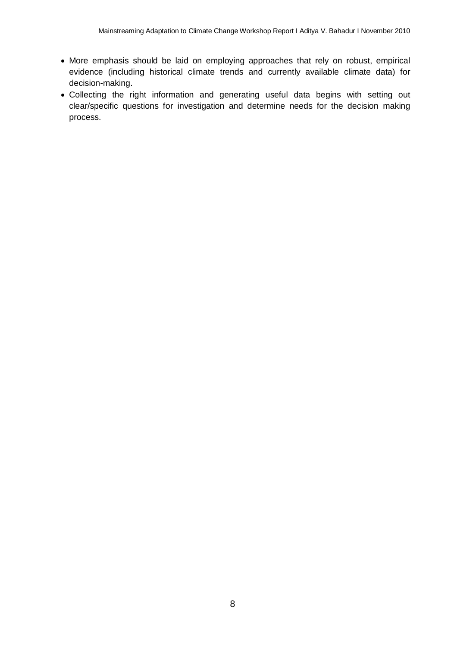- More emphasis should be laid on employing approaches that rely on robust, empirical evidence (including historical climate trends and currently available climate data) for decision-making.
- Collecting the right information and generating useful data begins with setting out clear/specific questions for investigation and determine needs for the decision making process.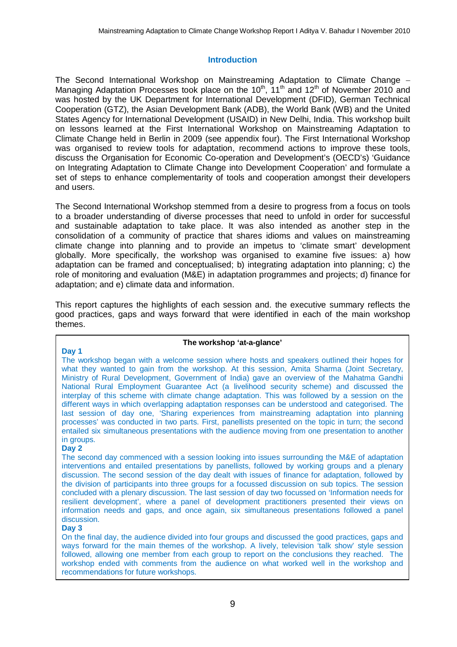## **Introduction**

The Second International Workshop on Mainstreaming Adaptation to Climate Change Managing Adaptation Processes took place on the 10<sup>th</sup>, 11<sup>th</sup> and 12<sup>th</sup> of November 2010 and was hosted by the UK Department for International Development (DFID), German Technical Cooperation (GTZ), the Asian Development Bank (ADB), the World Bank (WB) and the United States Agency for International Development (USAID) in New Delhi, India. This workshop built on lessons learned at the First International Workshop on Mainstreaming Adaptation to Climate Change held in Berlin in 2009 (see appendix four). The First International Workshop was organised to review tools for adaptation, recommend actions to improve these tools, discuss the Organisation for Economic Co-operation and Development's (OECD's) 'Guidance on Integrating Adaptation to Climate Change into Development Cooperation' and formulate a set of steps to enhance complementarity of tools and cooperation amongst their developers and users.

The Second International Workshop stemmed from a desire to progress from a focus on tools to a broader understanding of diverse processes that need to unfold in order for successful and sustainable adaptation to take place. It was also intended as another step in the consolidation of a community of practice that shares idioms and values on mainstreaming climate change into planning and to provide an impetus to 'climate smart' development globally. More specifically, the workshop was organised to examine five issues: a) how adaptation can be framed and conceptualised; b) integrating adaptation into planning; c) the role of monitoring and evaluation (M&E) in adaptation programmes and projects; d) finance for adaptation; and e) climate data and information.

This report captures the highlights of each session and. the executive summary reflects the good practices, gaps and ways forward that were identified in each of the main workshop themes.

#### **Day 1**

#### **The workshop 'at-a-glance'**

The workshop began with a welcome session where hosts and speakers outlined their hopes for what they wanted to gain from the workshop. At this session, Amita Sharma (Joint Secretary, Ministry of Rural Development, Government of India) gave an overview of the Mahatma Gandhi National Rural Employment Guarantee Act (a livelihood security scheme) and discussed the interplay of this scheme with climate change adaptation. This was followed by a session on the different ways in which overlapping adaptation responses can be understood and categorised. The last session of day one, 'Sharing experiences from mainstreaming adaptation into planning processes' was conducted in two parts. First, panellists presented on the topic in turn; the second entailed six simultaneous presentations with the audience moving from one presentation to another in groups.

#### **Day 2**

The second day commenced with a session looking into issues surrounding the M&E of adaptation interventions and entailed presentations by panellists, followed by working groups and a plenary discussion. The second session of the day dealt with issues of finance for adaptation, followed by the division of participants into three groups for a focussed discussion on sub topics. The session concluded with a plenary discussion. The last session of day two focussed on 'Information needs for resilient development', where a panel of development practitioners presented their views on information needs and gaps, and once again, six simultaneous presentations followed a panel discussion.

#### **Day 3**

On the final day, the audience divided into four groups and discussed the good practices, gaps and ways forward for the main themes of the workshop. A lively, television 'talk show' style session followed, allowing one member from each group to report on the conclusions they reached. The workshop ended with comments from the audience on what worked well in the workshop and recommendations for future workshops.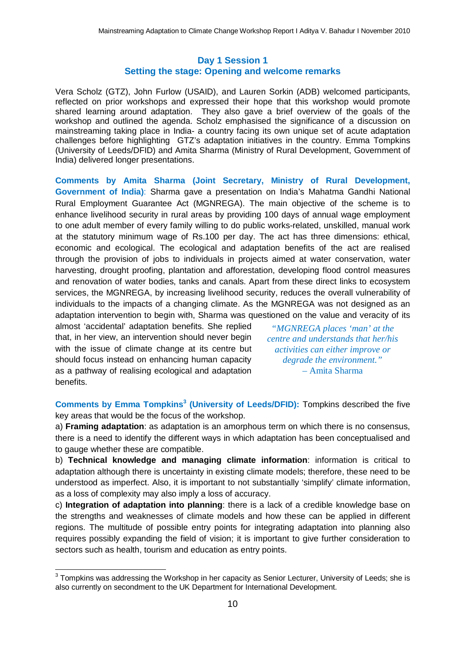## **Day 1 Session 1 Setting the stage: Opening and welcome remarks**

Vera Scholz (GTZ), John Furlow (USAID), and Lauren Sorkin (ADB) welcomed participants, reflected on prior workshops and expressed their hope that this workshop would promote shared learning around adaptation. They also gave a brief overview of the goals of the workshop and outlined the agenda. Scholz emphasised the significance of a discussion on mainstreaming taking place in India- a country facing its own unique set of acute adaptation challenges before highlighting GTZ's adaptation initiatives in the country. Emma Tompkins (University of Leeds/DFID) and Amita Sharma (Ministry of Rural Development, Government of India) delivered longer presentations.

**Comments by Amita Sharma (Joint Secretary, Ministry of Rural Development, Government of India)**: Sharma gave a presentation on India's Mahatma Gandhi National Rural Employment Guarantee Act (MGNREGA). The main objective of the scheme is to enhance livelihood security in rural areas by providing 100 days of annual wage employment to one adult member of every family willing to do public works-related, unskilled, manual work at the statutory minimum wage of Rs.100 per day. The act has three dimensions: ethical, economic and ecological. The ecological and adaptation benefits of the act are realised through the provision of jobs to individuals in projects aimed at water conservation, water harvesting, drought proofing, plantation and afforestation, developing flood control measures and renovation of water bodies, tanks and canals. Apart from these direct links to ecosystem services, the MGNREGA, by increasing livelihood security, reduces the overall vulnerability of individuals to the impacts of a changing climate. As the MGNREGA was not designed as an adaptation intervention to begin with, Sharma was questioned on the value and veracity of its

almost 'accidental' adaptation benefits. She replied that, in her view, an intervention should never begin with the issue of climate change at its centre but should focus instead on enhancing human capacity as a pathway of realising ecological and adaptation benefits.

*"MGNREGA places 'man' at the centre and understands that her/his activities can either improve or degrade the environment."* – Amita Sharma

**Comments by Emma Tompkins<sup>3</sup> (University of Leeds/DFID):** Tompkins described the five key areas that would be the focus of the workshop.

a) **Framing adaptation**: as adaptation is an amorphous term on which there is no consensus, there is a need to identify the different ways in which adaptation has been conceptualised and to gauge whether these are compatible.

b) **Technical knowledge and managing climate information**: information is critical to adaptation although there is uncertainty in existing climate models; therefore, these need to be understood as imperfect. Also, it is important to not substantially 'simplify' climate information, as a loss of complexity may also imply a loss of accuracy.

c) **Integration of adaptation into planning**: there is a lack of a credible knowledge base on the strengths and weaknesses of climate models and how these can be applied in different regions. The multitude of possible entry points for integrating adaptation into planning also requires possibly expanding the field of vision; it is important to give further consideration to sectors such as health, tourism and education as entry points.

\_\_\_\_\_\_\_\_\_\_\_\_\_\_\_\_\_\_\_\_\_\_\_\_\_\_\_\_\_\_\_\_\_\_\_<br><sup>3</sup> Tompkins was addressing the Workshop in her capacity as Senior Lecturer, University of Leeds; she is also currently on secondment to the UK Department for International Development.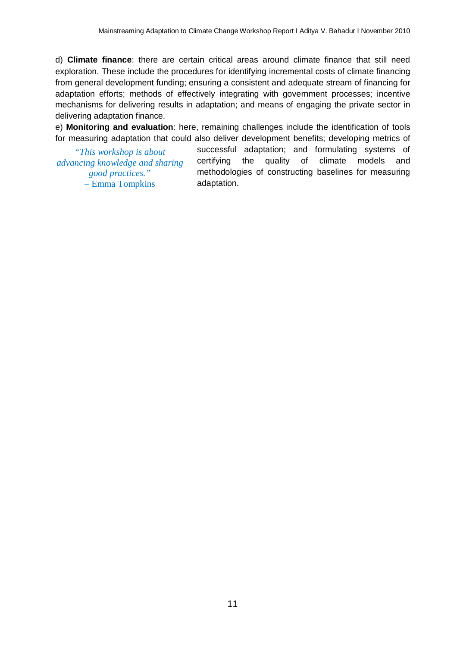d) **Climate finance**: there are certain critical areas around climate finance that still need exploration. These include the procedures for identifying incremental costs of climate financing from general development funding; ensuring a consistent and adequate stream of financing for adaptation efforts; methods of effectively integrating with government processes; incentive mechanisms for delivering results in adaptation; and means of engaging the private sector in delivering adaptation finance.

e) **Monitoring and evaluation**: here, remaining challenges include the identification of tools for measuring adaptation that could also deliver development benefits; developing metrics of

*"This workshop is about advancing knowledge and sharing good practices."* – Emma Tompkins

successful adaptation; and formulating systems of certifying the quality of climate models and methodologies of constructing baselines for measuring adaptation.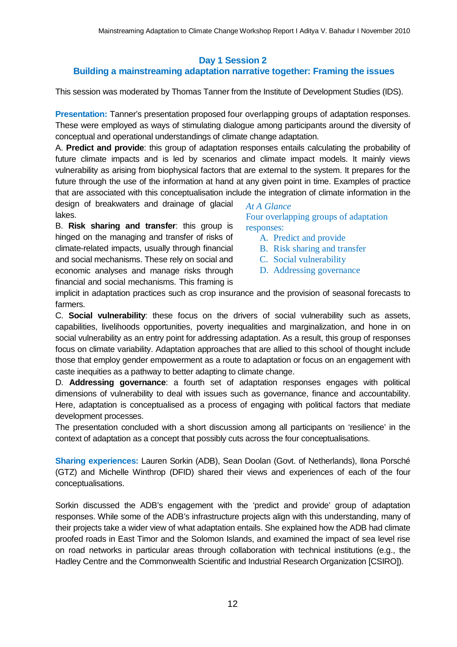## **Day 1 Session 2**

# **Building a mainstreaming adaptation narrative together: Framing the issues**

This session was moderated by Thomas Tanner from the Institute of Development Studies (IDS).

**Presentation:** Tanner's presentation proposed four overlapping groups of adaptation responses. These were employed as ways of stimulating dialogue among participants around the diversity of conceptual and operational understandings of climate change adaptation.

A. **Predict and provide**: this group of adaptation responses entails calculating the probability of future climate impacts and is led by scenarios and climate impact models. It mainly views vulnerability as arising from biophysical factors that are external to the system. It prepares for the future through the use of the information at hand at any given point in time. Examples of practice that are associated with this conceptualisation include the integration of climate information in the

design of breakwaters and drainage of glacial lakes.

B. **Risk sharing and transfer**: this group is hinged on the managing and transfer of risks of climate-related impacts, usually through financial and social mechanisms. These rely on social and economic analyses and manage risks through financial and social mechanisms. This framing is

*At A Glance* Four overlapping groups of adaptation responses:

- A. Predict and provide
- B. Risk sharing and transfer
- C. Social vulnerability
- D. Addressing governance

implicit in adaptation practices such as crop insurance and the provision of seasonal forecasts to farmers.

C. **Social vulnerability**: these focus on the drivers of social vulnerability such as assets, capabilities, livelihoods opportunities, poverty inequalities and marginalization, and hone in on social vulnerability as an entry point for addressing adaptation. As a result, this group of responses focus on climate variability. Adaptation approaches that are allied to this school of thought include those that employ gender empowerment as a route to adaptation or focus on an engagement with caste inequities as a pathway to better adapting to climate change.

D. **Addressing governance**: a fourth set of adaptation responses engages with political dimensions of vulnerability to deal with issues such as governance, finance and accountability. Here, adaptation is conceptualised as a process of engaging with political factors that mediate development processes.

The presentation concluded with a short discussion among all participants on 'resilience' in the context of adaptation as a concept that possibly cuts across the four conceptualisations.

**Sharing experiences:** Lauren Sorkin (ADB), Sean Doolan (Govt. of Netherlands), Ilona Porsché (GTZ) and Michelle Winthrop (DFID) shared their views and experiences of each of the four conceptualisations.

Sorkin discussed the ADB's engagement with the 'predict and provide' group of adaptation responses. While some of the ADB's infrastructure projects align with this understanding, many of their projects take a wider view of what adaptation entails. She explained how the ADB had climate proofed roads in East Timor and the Solomon Islands, and examined the impact of sea level rise on road networks in particular areas through collaboration with technical institutions (e.g., the Hadley Centre and the Commonwealth Scientific and Industrial Research Organization [CSIRO]).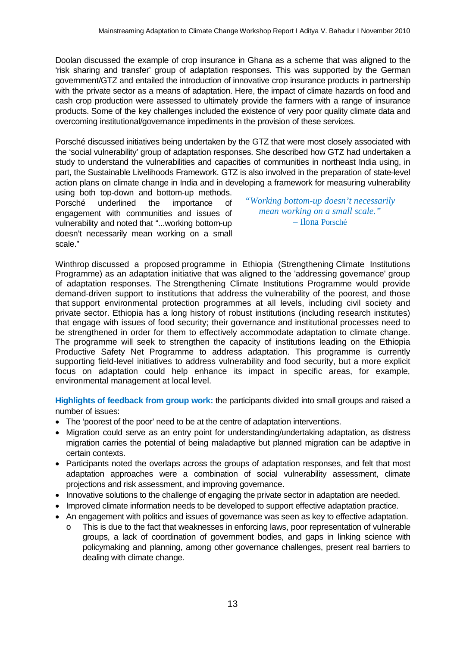Doolan discussed the example of crop insurance in Ghana as a scheme that was aligned to the 'risk sharing and transfer' group of adaptation responses. This was supported by the German government/GTZ and entailed the introduction of innovative crop insurance products in partnership with the private sector as a means of adaptation. Here, the impact of climate hazards on food and cash crop production were assessed to ultimately provide the farmers with a range of insurance products. Some of the key challenges included the existence of very poor quality climate data and overcoming institutional/governance impediments in the provision of these services.

Porsché discussed initiatives being undertaken by the GTZ that were most closely associated with the 'social vulnerability' group of adaptation responses. She described how GTZ had undertaken a study to understand the vulnerabilities and capacities of communities in northeast India using, in part, the Sustainable Livelihoods Framework. GTZ is also involved in the preparation of state-level action plans on climate change in India and in developing a framework for measuring vulnerability

using both top-down and bottom-up methods. Porsché underlined the importance of engagement with communities and issues of vulnerability and noted that "...working bottom-up doesn't necessarily mean working on a small scale."

*"Working bottom-up doesn't necessarily mean working on a small scale."* – Ilona Porsché

Winthrop discussed a proposed programme in Ethiopia (Strengthening Climate Institutions Programme) as an adaptation initiative that was aligned to the 'addressing governance' group of adaptation responses. The Strengthening Climate Institutions Programme would provide demand-driven support to institutions that address the vulnerability of the poorest, and those that support environmental protection programmes at all levels, including civil society and private sector. Ethiopia has a long history of robust institutions (including research institutes) that engage with issues of food security; their governance and institutional processes need to be strengthened in order for them to effectively accommodate adaptation to climate change. The programme will seek to strengthen the capacity of institutions leading on the Ethiopia Productive Safety Net Programme to address adaptation. This programme is currently supporting field-level initiatives to address vulnerability and food security, but a more explicit focus on adaptation could help enhance its impact in specific areas, for example, environmental management at local level.

**Highlights of feedback from group work:** the participants divided into small groups and raised a number of issues:

- The 'poorest of the poor' need to be at the centre of adaptation interventions.
- Migration could serve as an entry point for understanding/undertaking adaptation, as distress migration carries the potential of being maladaptive but planned migration can be adaptive in certain contexts.
- Participants noted the overlaps across the groups of adaptation responses, and felt that most adaptation approaches were a combination of social vulnerability assessment, climate projections and risk assessment, and improving governance.
- Innovative solutions to the challenge of engaging the private sector in adaptation are needed.
- Improved climate information needs to be developed to support effective adaptation practice.
- An engagement with politics and issues of governance was seen as key to effective adaptation.
	- This is due to the fact that weaknesses in enforcing laws, poor representation of vulnerable groups, a lack of coordination of government bodies, and gaps in linking science with policymaking and planning, among other governance challenges, present real barriers to dealing with climate change.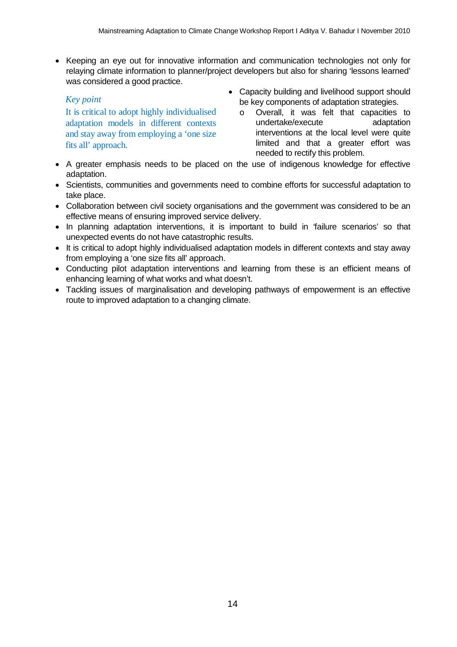• Keeping an eye out for innovative information and communication technologies not only for relaying climate information to planner/project developers but also for sharing 'lessons learned' was considered a good practice.

## *Key point*

It is critical to adopt highly individualised adaptation models in different contexts and stay away from employing a 'one size fits all' approach.

- Capacity building and livelihood support should be key components of adaptation strategies.
	- o Overall, it was felt that capacities to undertake/execute adaptation interventions at the local level were quite limited and that a greater effort was needed to rectify this problem.
- A greater emphasis needs to be placed on the use of indigenous knowledge for effective adaptation.
- Scientists, communities and governments need to combine efforts for successful adaptation to take place.
- Collaboration between civil society organisations and the government was considered to be an effective means of ensuring improved service delivery.
- In planning adaptation interventions, it is important to build in 'failure scenarios' so that unexpected events do not have catastrophic results.
- It is critical to adopt highly individualised adaptation models in different contexts and stay away from employing a 'one size fits all' approach.
- Conducting pilot adaptation interventions and learning from these is an efficient means of enhancing learning of what works and what doesn't.
- Tackling issues of marginalisation and developing pathways of empowerment is an effective route to improved adaptation to a changing climate.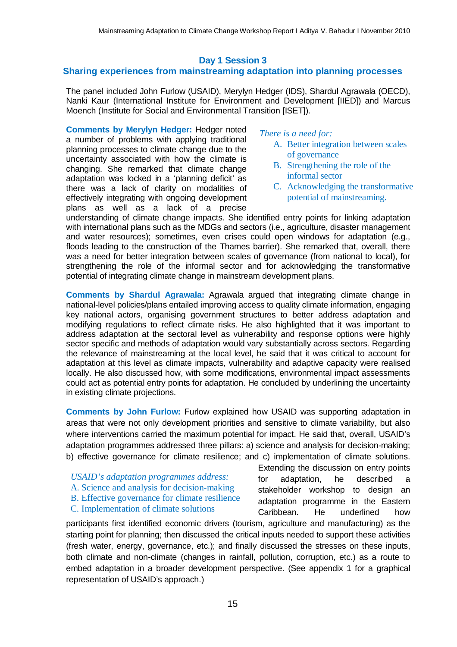## **Day 1 Session 3**

## **Sharing experiences from mainstreaming adaptation into planning processes**

The panel included John Furlow (USAID), Merylyn Hedger (IDS), Shardul Agrawala (OECD), Nanki Kaur (International Institute for Environment and Development [IIED]) and Marcus Moench (Institute for Social and Environmental Transition [ISET]).

**Comments by Merylyn Hedger:** Hedger noted a number of problems with applying traditional planning processes to climate change due to the uncertainty associated with how the climate is changing. She remarked that climate change adaptation was locked in a 'planning deficit' as there was a lack of clarity on modalities of effectively integrating with ongoing development plans as well as a lack of a precise

#### *There is a need for:*

- A. Better integration between scales of governance
- B. Strengthening the role of the informal sector
- C. Acknowledging the transformative potential of mainstreaming.

understanding of climate change impacts. She identified entry points for linking adaptation with international plans such as the MDGs and sectors (i.e., agriculture, disaster management and water resources); sometimes, even crises could open windows for adaptation (e.g., floods leading to the construction of the Thames barrier). She remarked that, overall, there was a need for better integration between scales of governance (from national to local), for strengthening the role of the informal sector and for acknowledging the transformative potential of integrating climate change in mainstream development plans.

**Comments by Shardul Agrawala:** Agrawala argued that integrating climate change in national-level policies/plans entailed improving access to quality climate information, engaging key national actors, organising government structures to better address adaptation and modifying regulations to reflect climate risks. He also highlighted that it was important to address adaptation at the sectoral level as vulnerability and response options were highly sector specific and methods of adaptation would vary substantially across sectors. Regarding the relevance of mainstreaming at the local level, he said that it was critical to account for adaptation at this level as climate impacts, vulnerability and adaptive capacity were realised locally. He also discussed how, with some modifications, environmental impact assessments could act as potential entry points for adaptation. He concluded by underlining the uncertainty in existing climate projections.

**Comments by John Furlow:** Furlow explained how USAID was supporting adaptation in areas that were not only development priorities and sensitive to climate variability, but also where interventions carried the maximum potential for impact. He said that, overall, USAID's adaptation programmes addressed three pillars: a) science and analysis for decision-making; b) effective governance for climate resilience; and c) implementation of climate solutions.

- *USAID's adaptation programmes address:*
- A. Science and analysis for decision-making
- B. Effective governance for climate resilience
- C. Implementation of climate solutions

Extending the discussion on entry points for adaptation, he described a stakeholder workshop to design an adaptation programme in the Eastern Caribbean. He underlined how

participants first identified economic drivers (tourism, agriculture and manufacturing) as the starting point for planning; then discussed the critical inputs needed to support these activities (fresh water, energy, governance, etc.); and finally discussed the stresses on these inputs, both climate and non-climate (changes in rainfall, pollution, corruption, etc.) as a route to embed adaptation in a broader development perspective. (See appendix 1 for a graphical representation of USAID's approach.)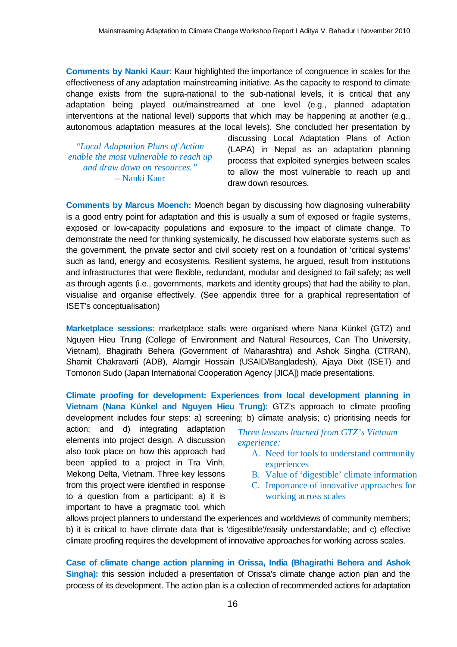**Comments by Nanki Kaur:** Kaur highlighted the importance of congruence in scales for the effectiveness of any adaptation mainstreaming initiative. As the capacity to respond to climate change exists from the supra-national to the sub-national levels, it is critical that any adaptation being played out/mainstreamed at one level (e.g., planned adaptation interventions at the national level) supports that which may be happening at another (e.g., autonomous adaptation measures at the local levels). She concluded her presentation by

"*Local Adaptation Plans of Action enable the most vulnerable to reach up and draw down on resources."*  – Nanki Kaur

discussing Local Adaptation Plans of Action (LAPA) in Nepal as an adaptation planning process that exploited synergies between scales to allow the most vulnerable to reach up and draw down resources.

**Comments by Marcus Moench:** Moench began by discussing how diagnosing vulnerability is a good entry point for adaptation and this is usually a sum of exposed or fragile systems, exposed or low-capacity populations and exposure to the impact of climate change. To demonstrate the need for thinking systemically, he discussed how elaborate systems such as the government, the private sector and civil society rest on a foundation of 'critical systems' such as land, energy and ecosystems. Resilient systems, he argued, result from institutions and infrastructures that were flexible, redundant, modular and designed to fail safely; as well as through agents (i.e., governments, markets and identity groups) that had the ability to plan, visualise and organise effectively. (See appendix three for a graphical representation of ISET's conceptualisation)

**Marketplace sessions:** marketplace stalls were organised where Nana Künkel (GTZ) and Nguyen Hieu Trung (College of Environment and Natural Resources, Can Tho University, Vietnam), Bhagirathi Behera (Government of Maharashtra) and Ashok Singha (CTRAN), Shamit Chakravarti (ADB), Alamgir Hossain (USAID/Bangladesh), Ajaya Dixit (ISET) and Tomonori Sudo (Japan International Cooperation Agency [JICA]) made presentations.

**Climate proofing for development: Experiences from local development planning in Vietnam (Nana Künkel and Nguyen Hieu Trung):** GTZ's approach to climate proofing development includes four steps: a) screening; b) climate analysis; c) prioritising needs for

action; and d) integrating adaptation elements into project design. A discussion also took place on how this approach had been applied to a project in Tra Vinh, Mekong Delta, Vietnam. Three key lessons from this project were identified in response to a question from a participant: a) it is important to have a pragmatic tool, which

*Three lessons learned from GTZ's Vietnam experience:*

- A. Need for tools to understand community experiences
- B. Value of 'digestible' climate information
- C. Importance of innovative approaches for working across scales

allows project planners to understand the experiences and worldviews of community members; b) it is critical to have climate data that is 'digestible'/easily understandable; and c) effective climate proofing requires the development of innovative approaches for working across scales.

**Case of climate change action planning in Orissa, India (Bhagirathi Behera and Ashok Singha):** this session included a presentation of Orissa's climate change action plan and the process of its development. The action plan is a collection of recommended actions for adaptation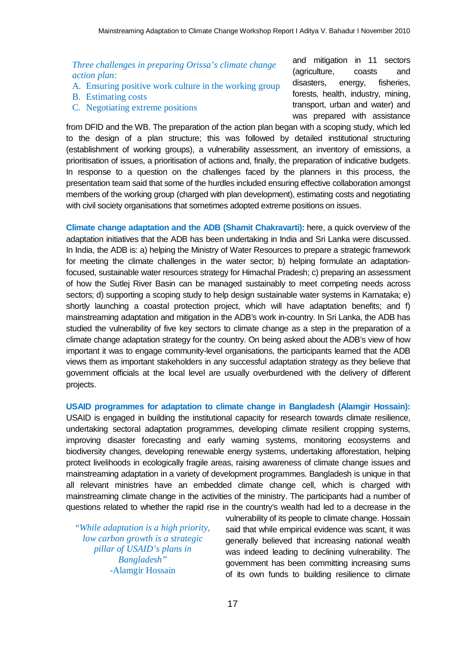## *Three challenges in preparing Orissa's climate change action plan:*

- A. Ensuring positive work culture in the working group
- B. Estimating costs
- C. Negotiating extreme positions

and mitigation in 11 sectors (agriculture, coasts and disasters, energy, fisheries, forests, health, industry, mining, transport, urban and water) and was prepared with assistance

from DFID and the WB. The preparation of the action plan began with a scoping study, which led to the design of a plan structure; this was followed by detailed institutional structuring (establishment of working groups), a vulnerability assessment, an inventory of emissions, a prioritisation of issues, a prioritisation of actions and, finally, the preparation of indicative budgets. In response to a question on the challenges faced by the planners in this process, the presentation team said that some of the hurdles included ensuring effective collaboration amongst members of the working group (charged with plan development), estimating costs and negotiating with civil society organisations that sometimes adopted extreme positions on issues.

**Climate change adaptation and the ADB (Shamit Chakravarti):** here, a quick overview of the adaptation initiatives that the ADB has been undertaking in India and Sri Lanka were discussed. In India, the ADB is: a) helping the Ministry of Water Resources to prepare a strategic framework for meeting the climate challenges in the water sector; b) helping formulate an adaptationfocused, sustainable water resources strategy for Himachal Pradesh; c) preparing an assessment of how the Sutlej River Basin can be managed sustainably to meet competing needs across sectors; d) supporting a scoping study to help design sustainable water systems in Karnataka; e) shortly launching a coastal protection project, which will have adaptation benefits; and f) mainstreaming adaptation and mitigation in the ADB's work in-country. In Sri Lanka, the ADB has studied the vulnerability of five key sectors to climate change as a step in the preparation of a climate change adaptation strategy for the country. On being asked about the ADB's view of how important it was to engage community-level organisations, the participants learned that the ADB views them as important stakeholders in any successful adaptation strategy as they believe that government officials at the local level are usually overburdened with the delivery of different projects.

**USAID programmes for adaptation to climate change in Bangladesh (Alamgir Hossain):** USAID is engaged in building the institutional capacity for research towards climate resilience, undertaking sectoral adaptation programmes, developing climate resilient cropping systems, improving disaster forecasting and early warning systems, monitoring ecosystems and biodiversity changes, developing renewable energy systems, undertaking afforestation, helping protect livelihoods in ecologically fragile areas, raising awareness of climate change issues and mainstreaming adaptation in a variety of development programmes. Bangladesh is unique in that all relevant ministries have an embedded climate change cell, which is charged with mainstreaming climate change in the activities of the ministry. The participants had a number of questions related to whether the rapid rise in the country's wealth had led to a decrease in the

"*While adaptation is a high priority, low carbon growth is a strategic pillar of USAID's plans in Bangladesh"*  -Alamgir Hossain

vulnerability of its people to climate change. Hossain said that while empirical evidence was scant, it was generally believed that increasing national wealth was indeed leading to declining vulnerability. The government has been committing increasing sums of its own funds to building resilience to climate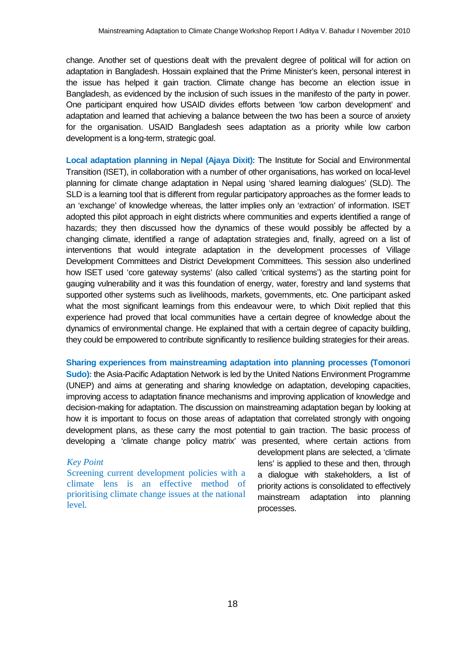change. Another set of questions dealt with the prevalent degree of political will for action on adaptation in Bangladesh. Hossain explained that the Prime Minister's keen, personal interest in the issue has helped it gain traction. Climate change has become an election issue in Bangladesh, as evidenced by the inclusion of such issues in the manifesto of the party in power. One participant enquired how USAID divides efforts between 'low carbon development' and adaptation and learned that achieving a balance between the two has been a source of anxiety for the organisation. USAID Bangladesh sees adaptation as a priority while low carbon development is a long-term, strategic goal.

**Local adaptation planning in Nepal (Ajaya Dixit):** The Institute for Social and Environmental Transition (ISET), in collaboration with a number of other organisations, has worked on local-level planning for climate change adaptation in Nepal using 'shared learning dialogues' (SLD). The SLD is a learning tool that is different from regular participatory approaches as the former leads to an 'exchange' of knowledge whereas, the latter implies only an 'extraction' of information. ISET adopted this pilot approach in eight districts where communities and experts identified a range of hazards; they then discussed how the dynamics of these would possibly be affected by a changing climate, identified a range of adaptation strategies and, finally, agreed on a list of interventions that would integrate adaptation in the development processes of Village Development Committees and District Development Committees. This session also underlined how ISET used 'core gateway systems' (also called 'critical systems') as the starting point for gauging vulnerability and it was this foundation of energy, water, forestry and land systems that supported other systems such as livelihoods, markets, governments, etc. One participant asked what the most significant learnings from this endeavour were, to which Dixit replied that this experience had proved that local communities have a certain degree of knowledge about the dynamics of environmental change. He explained that with a certain degree of capacity building, they could be empowered to contribute significantly to resilience building strategies for their areas.

**Sharing experiences from mainstreaming adaptation into planning processes (Tomonori Sudo):** the Asia-Pacific Adaptation Network is led by the United Nations Environment Programme (UNEP) and aims at generating and sharing knowledge on adaptation, developing capacities, improving access to adaptation finance mechanisms and improving application of knowledge and decision-making for adaptation. The discussion on mainstreaming adaptation began by looking at how it is important to focus on those areas of adaptation that correlated strongly with ongoing development plans, as these carry the most potential to gain traction. The basic process of developing a 'climate change policy matrix' was presented, where certain actions from

#### *Key Point*

Screening current development policies with a climate lens is an effective method of prioritising climate change issues at the national level.

development plans are selected, a 'climate lens' is applied to these and then, through a dialogue with stakeholders, a list of priority actions is consolidated to effectively mainstream adaptation into planning processes.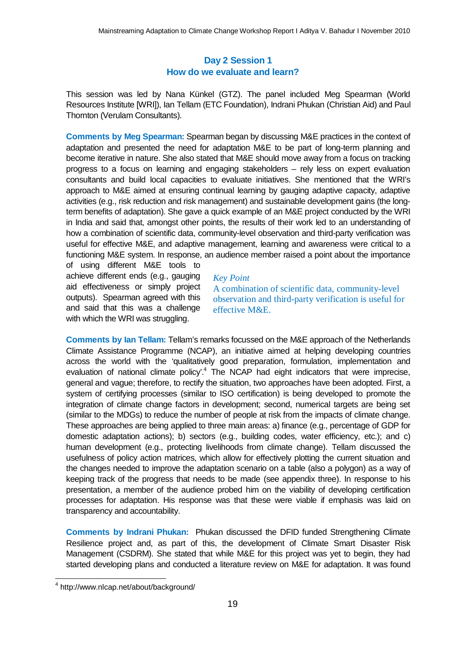## **Day 2 Session 1 How do we evaluate and learn?**

This session was led by Nana Künkel (GTZ). The panel included Meg Spearman (World Resources Institute [WRI]), Ian Tellam (ETC Foundation), Indrani Phukan (Christian Aid) and Paul Thornton (Verulam Consultants).

**Comments by Meg Spearman:** Spearman began by discussing M&E practices in the context of adaptation and presented the need for adaptation M&E to be part of long-term planning and become iterative in nature. She also stated that M&E should move away from a focus on tracking progress to a focus on learning and engaging stakeholders – rely less on expert evaluation consultants and build local capacities to evaluate initiatives. She mentioned that the WRI's approach to M&E aimed at ensuring continual learning by gauging adaptive capacity, adaptive activities (e.g., risk reduction and risk management) and sustainable development gains (the longterm benefits of adaptation). She gave a quick example of an M&E project conducted by the WRI in India and said that, amongst other points, the results of their work led to an understanding of how a combination of scientific data, community-level observation and third-party verification was useful for effective M&E, and adaptive management, learning and awareness were critical to a functioning M&E system. In response, an audience member raised a point about the importance

of using different M&E tools to achieve different ends (e.g., gauging aid effectiveness or simply project outputs). Spearman agreed with this and said that this was a challenge with which the WRI was struggling.

## *Key Point*

A combination of scientific data, community-level observation and third-party verification is useful for effective M&E.

**Comments by Ian Tellam:** Tellam's remarks focussed on the M&E approach of the Netherlands Climate Assistance Programme (NCAP), an initiative aimed at helping developing countries across the world with the 'qualitatively good preparation, formulation, implementation and evaluation of national climate policy'.<sup>4</sup> The NCAP had eight indicators that were imprecise, general and vague; therefore, to rectify the situation, two approaches have been adopted. First, a system of certifying processes (similar to ISO certification) is being developed to promote the integration of climate change factors in development; second, numerical targets are being set (similar to the MDGs) to reduce the number of people at risk from the impacts of climate change. These approaches are being applied to three main areas: a) finance (e.g., percentage of GDP for domestic adaptation actions); b) sectors (e.g., building codes, water efficiency, etc.); and c) human development (e.g., protecting livelihoods from climate change). Tellam discussed the usefulness of policy action matrices, which allow for effectively plotting the current situation and the changes needed to improve the adaptation scenario on a table (also a polygon) as a way of keeping track of the progress that needs to be made (see appendix three). In response to his presentation, a member of the audience probed him on the viability of developing certification processes for adaptation. His response was that these were viable if emphasis was laid on transparency and accountability.

**Comments by Indrani Phukan:** Phukan discussed the DFID funded Strengthening Climate Resilience project and, as part of this, the development of Climate Smart Disaster Risk Management (CSDRM). She stated that while M&E for this project was yet to begin, they had started developing plans and conducted a literature review on M&E for adaptation. It was found

 $\overline{\phantom{a}}$ 4 http://www.nlcap.net/about/background/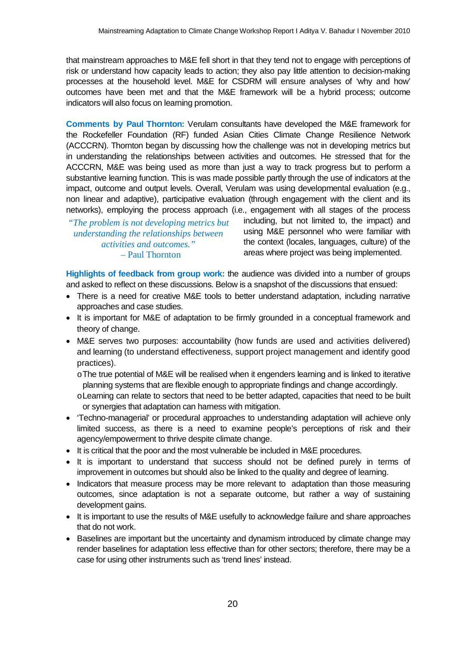that mainstream approaches to M&E fell short in that they tend not to engage with perceptions of risk or understand how capacity leads to action; they also pay little attention to decision-making processes at the household level. M&E for CSDRM will ensure analyses of 'why and how' outcomes have been met and that the M&E framework will be a hybrid process; outcome indicators will also focus on learning promotion.

**Comments by Paul Thornton:** Verulam consultants have developed the M&E framework for the Rockefeller Foundation (RF) funded Asian Cities Climate Change Resilience Network (ACCCRN). Thornton began by discussing how the challenge was not in developing metrics but in understanding the relationships between activities and outcomes. He stressed that for the ACCCRN, M&E was being used as more than just a way to track progress but to perform a substantive learning function. This is was made possible partly through the use of indicators at the impact, outcome and output levels. Overall, Verulam was using developmental evaluation (e.g., non linear and adaptive), participative evaluation (through engagement with the client and its networks), employing the process approach (i.e., engagement with all stages of the process

*"The problem is not developing metrics but understanding the relationships between activities and outcomes."* – Paul Thornton

including, but not limited to, the impact) and using M&E personnel who were familiar with the context (locales, languages, culture) of the areas where project was being implemented.

**Highlights of feedback from group work:** the audience was divided into a number of groups and asked to reflect on these discussions. Below is a snapshot of the discussions that ensued:

- There is a need for creative M&E tools to better understand adaptation, including narrative approaches and case studies.
- It is important for M&E of adaptation to be firmly grounded in a conceptual framework and theory of change.
- M&E serves two purposes: accountability (how funds are used and activities delivered) and learning (to understand effectiveness, support project management and identify good practices).

oThe true potential of M&E will be realised when it engenders learning and is linked to iterative planning systems that are flexible enough to appropriate findings and change accordingly.

oLearning can relate to sectors that need to be better adapted, capacities that need to be built or synergies that adaptation can harness with mitigation.

- 'Techno-managerial' or procedural approaches to understanding adaptation will achieve only limited success, as there is a need to examine people's perceptions of risk and their agency/empowerment to thrive despite climate change.
- It is critical that the poor and the most vulnerable be included in M&E procedures.
- It is important to understand that success should not be defined purely in terms of improvement in outcomes but should also be linked to the quality and degree of learning.
- Indicators that measure process may be more relevant to adaptation than those measuring outcomes, since adaptation is not a separate outcome, but rather a way of sustaining development gains.
- It is important to use the results of M&E usefully to acknowledge failure and share approaches that do not work.
- Baselines are important but the uncertainty and dynamism introduced by climate change may render baselines for adaptation less effective than for other sectors; therefore, there may be a case for using other instruments such as 'trend lines' instead.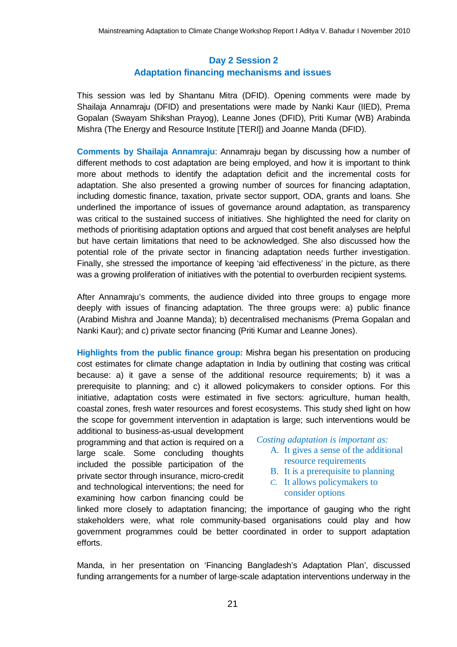## **Day 2 Session 2 Adaptation financing mechanisms and issues**

This session was led by Shantanu Mitra (DFID). Opening comments were made by Shailaja Annamraju (DFID) and presentations were made by Nanki Kaur (IIED), Prema Gopalan (Swayam Shikshan Prayog), Leanne Jones (DFID), Priti Kumar (WB) Arabinda Mishra (The Energy and Resource Institute [TERI]) and Joanne Manda (DFID).

**Comments by Shailaja Annamraju**: Annamraju began by discussing how a number of different methods to cost adaptation are being employed, and how it is important to think more about methods to identify the adaptation deficit and the incremental costs for adaptation. She also presented a growing number of sources for financing adaptation, including domestic finance, taxation, private sector support, ODA, grants and loans. She underlined the importance of issues of governance around adaptation, as transparency was critical to the sustained success of initiatives. She highlighted the need for clarity on methods of prioritising adaptation options and argued that cost benefit analyses are helpful but have certain limitations that need to be acknowledged. She also discussed how the potential role of the private sector in financing adaptation needs further investigation. Finally, she stressed the importance of keeping 'aid effectiveness' in the picture, as there was a growing proliferation of initiatives with the potential to overburden recipient systems.

After Annamraju's comments, the audience divided into three groups to engage more deeply with issues of financing adaptation. The three groups were: a) public finance (Arabind Mishra and Joanne Manda); b) decentralised mechanisms (Prema Gopalan and Nanki Kaur); and c) private sector financing (Priti Kumar and Leanne Jones).

**Highlights from the public finance group:** Mishra began his presentation on producing cost estimates for climate change adaptation in India by outlining that costing was critical because: a) it gave a sense of the additional resource requirements; b) it was a prerequisite to planning; and c) it allowed policymakers to consider options. For this initiative, adaptation costs were estimated in five sectors: agriculture, human health, coastal zones, fresh water resources and forest ecosystems. This study shed light on how the scope for government intervention in adaptation is large; such interventions would be additional to business-as-usual development

programming and that action is required on a large scale. Some concluding thoughts included the possible participation of the private sector through insurance, micro-credit and technological interventions; the need for examining how carbon financing could be

*Costing adaptation is important as:*

- A. It gives a sense of the additional resource requirements
- B. It is a prerequisite to planning
- *C.* It allows policymakers to consider options

linked more closely to adaptation financing; the importance of gauging who the right stakeholders were, what role community-based organisations could play and how government programmes could be better coordinated in order to support adaptation efforts.

Manda, in her presentation on 'Financing Bangladesh's Adaptation Plan', discussed funding arrangements for a number of large-scale adaptation interventions underway in the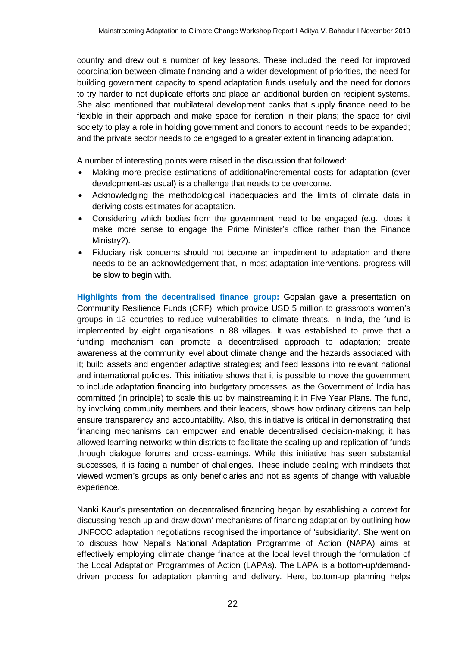country and drew out a number of key lessons. These included the need for improved coordination between climate financing and a wider development of priorities, the need for building government capacity to spend adaptation funds usefully and the need for donors to try harder to not duplicate efforts and place an additional burden on recipient systems. She also mentioned that multilateral development banks that supply finance need to be flexible in their approach and make space for iteration in their plans; the space for civil society to play a role in holding government and donors to account needs to be expanded; and the private sector needs to be engaged to a greater extent in financing adaptation.

A number of interesting points were raised in the discussion that followed:

- Making more precise estimations of additional/incremental costs for adaptation (over development-as usual) is a challenge that needs to be overcome.
- Acknowledging the methodological inadequacies and the limits of climate data in deriving costs estimates for adaptation.
- Considering which bodies from the government need to be engaged (e.g., does it make more sense to engage the Prime Minister's office rather than the Finance Ministry?).
- Fiduciary risk concerns should not become an impediment to adaptation and there needs to be an acknowledgement that, in most adaptation interventions, progress will be slow to begin with.

**Highlights from the decentralised finance group:** Gopalan gave a presentation on Community Resilience Funds (CRF), which provide USD 5 million to grassroots women's groups in 12 countries to reduce vulnerabilities to climate threats. In India, the fund is implemented by eight organisations in 88 villages. It was established to prove that a funding mechanism can promote a decentralised approach to adaptation; create awareness at the community level about climate change and the hazards associated with it; build assets and engender adaptive strategies; and feed lessons into relevant national and international policies. This initiative shows that it is possible to move the government to include adaptation financing into budgetary processes, as the Government of India has committed (in principle) to scale this up by mainstreaming it in Five Year Plans. The fund, by involving community members and their leaders, shows how ordinary citizens can help ensure transparency and accountability. Also, this initiative is critical in demonstrating that financing mechanisms can empower and enable decentralised decision-making; it has allowed learning networks within districts to facilitate the scaling up and replication of funds through dialogue forums and cross-learnings. While this initiative has seen substantial successes, it is facing a number of challenges. These include dealing with mindsets that viewed women's groups as only beneficiaries and not as agents of change with valuable experience.

Nanki Kaur's presentation on decentralised financing began by establishing a context for discussing 'reach up and draw down' mechanisms of financing adaptation by outlining how UNFCCC adaptation negotiations recognised the importance of 'subsidiarity'. She went on to discuss how Nepal's National Adaptation Programme of Action (NAPA) aims at effectively employing climate change finance at the local level through the formulation of the Local Adaptation Programmes of Action (LAPAs). The LAPA is a bottom-up/demanddriven process for adaptation planning and delivery. Here, bottom-up planning helps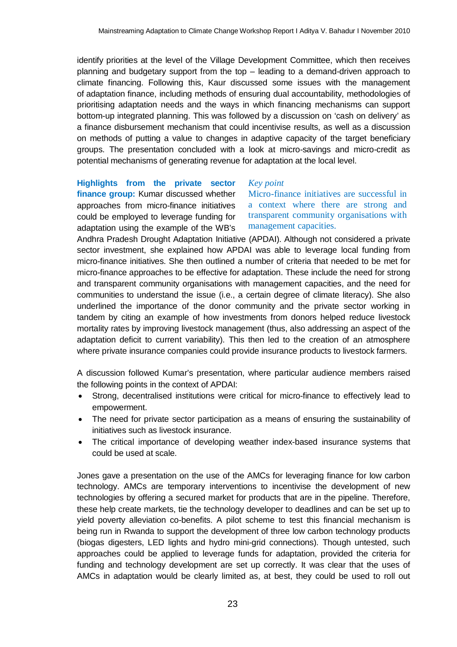identify priorities at the level of the Village Development Committee, which then receives planning and budgetary support from the top – leading to a demand-driven approach to climate financing. Following this, Kaur discussed some issues with the management of adaptation finance, including methods of ensuring dual accountability, methodologies of prioritising adaptation needs and the ways in which financing mechanisms can support bottom-up integrated planning. This was followed by a discussion on 'cash on delivery' as a finance disbursement mechanism that could incentivise results, as well as a discussion on methods of putting a value to changes in adaptive capacity of the target beneficiary groups. The presentation concluded with a look at micro-savings and micro-credit as potential mechanisms of generating revenue for adaptation at the local level.

**Highlights from the private sector finance group:** Kumar discussed whether approaches from micro-finance initiatives could be employed to leverage funding for adaptation using the example of the WB's

*Key point*

Micro-finance initiatives are successful in a context where there are strong and transparent community organisations with management capacities.

Andhra Pradesh Drought Adaptation Initiative (APDAI). Although not considered a private sector investment, she explained how APDAI was able to leverage local funding from micro-finance initiatives. She then outlined a number of criteria that needed to be met for micro-finance approaches to be effective for adaptation. These include the need for strong and transparent community organisations with management capacities, and the need for communities to understand the issue (i.e., a certain degree of climate literacy). She also underlined the importance of the donor community and the private sector working in tandem by citing an example of how investments from donors helped reduce livestock mortality rates by improving livestock management (thus, also addressing an aspect of the adaptation deficit to current variability). This then led to the creation of an atmosphere where private insurance companies could provide insurance products to livestock farmers.

A discussion followed Kumar's presentation, where particular audience members raised the following points in the context of APDAI:

- Strong, decentralised institutions were critical for micro-finance to effectively lead to empowerment.
- The need for private sector participation as a means of ensuring the sustainability of initiatives such as livestock insurance.
- The critical importance of developing weather index-based insurance systems that could be used at scale.

Jones gave a presentation on the use of the AMCs for leveraging finance for low carbon technology. AMCs are temporary interventions to incentivise the development of new technologies by offering a secured market for products that are in the pipeline. Therefore, these help create markets, tie the technology developer to deadlines and can be set up to yield poverty alleviation co-benefits. A pilot scheme to test this financial mechanism is being run in Rwanda to support the development of three low carbon technology products (biogas digesters, LED lights and hydro mini-grid connections). Though untested, such approaches could be applied to leverage funds for adaptation, provided the criteria for funding and technology development are set up correctly. It was clear that the uses of AMCs in adaptation would be clearly limited as, at best, they could be used to roll out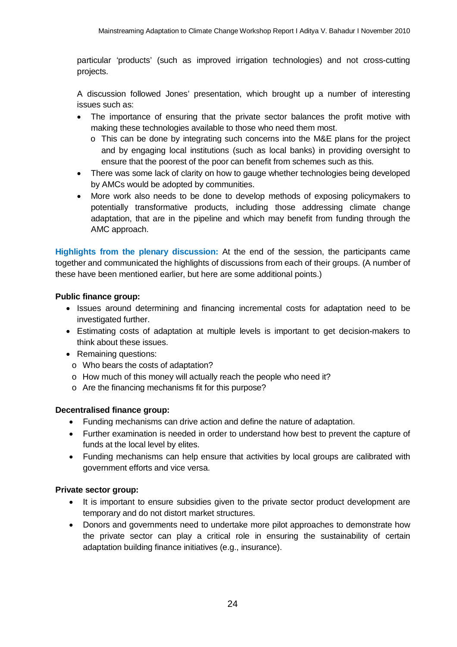particular 'products' (such as improved irrigation technologies) and not cross-cutting projects.

A discussion followed Jones' presentation, which brought up a number of interesting issues such as:

- The importance of ensuring that the private sector balances the profit motive with making these technologies available to those who need them most.
	- $\circ$  This can be done by integrating such concerns into the M&E plans for the project and by engaging local institutions (such as local banks) in providing oversight to ensure that the poorest of the poor can benefit from schemes such as this.
- There was some lack of clarity on how to gauge whether technologies being developed by AMCs would be adopted by communities.
- More work also needs to be done to develop methods of exposing policymakers to potentially transformative products, including those addressing climate change adaptation, that are in the pipeline and which may benefit from funding through the AMC approach.

**Highlights from the plenary discussion:** At the end of the session, the participants came together and communicated the highlights of discussions from each of their groups. (A number of these have been mentioned earlier, but here are some additional points.)

## **Public finance group:**

- Issues around determining and financing incremental costs for adaptation need to be investigated further.
- Estimating costs of adaptation at multiple levels is important to get decision-makers to think about these issues.
- Remaining questions:
	- o Who bears the costs of adaptation?
	- o How much of this money will actually reach the people who need it?
	- o Are the financing mechanisms fit for this purpose?

#### **Decentralised finance group:**

- Funding mechanisms can drive action and define the nature of adaptation.
- Further examination is needed in order to understand how best to prevent the capture of funds at the local level by elites.
- Funding mechanisms can help ensure that activities by local groups are calibrated with government efforts and vice versa.

#### **Private sector group:**

- It is important to ensure subsidies given to the private sector product development are temporary and do not distort market structures.
- Donors and governments need to undertake more pilot approaches to demonstrate how the private sector can play a critical role in ensuring the sustainability of certain adaptation building finance initiatives (e.g., insurance).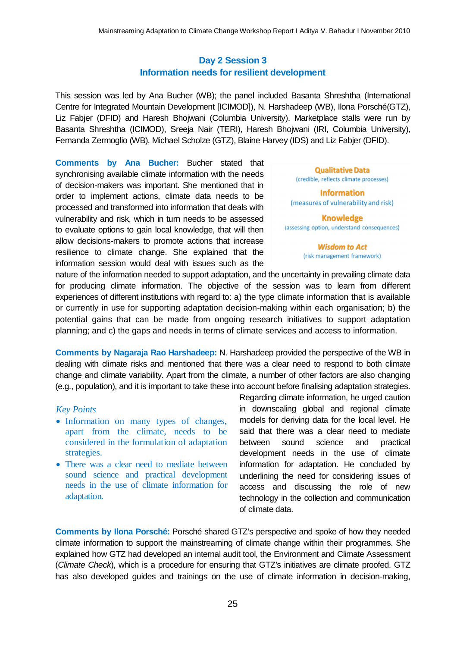## **Day 2 Session 3 Information needs for resilient development**

This session was led by Ana Bucher (WB); the panel included Basanta Shreshtha (International Centre for Integrated Mountain Development [ICIMOD]), N. Harshadeep (WB), Ilona Porsché(GTZ), Liz Fabjer (DFID) and Haresh Bhojwani (Columbia University). Marketplace stalls were run by Basanta Shreshtha (ICIMOD), Sreeja Nair (TERI), Haresh Bhojwani (IRI, Columbia University), Fernanda Zermoglio (WB), Michael Scholze (GTZ), Blaine Harvey (IDS) and Liz Fabjer (DFID).

**Comments by Ana Bucher:** Bucher stated that synchronising available climate information with the needs of decision-makers was important. She mentioned that in order to implement actions, climate data needs to be processed and transformed into information that deals with vulnerability and risk, which in turn needs to be assessed to evaluate options to gain local knowledge, that will then allow decisions-makers to promote actions that increase resilience to climate change. She explained that the information session would deal with issues such as the

**Qualitative Data** (credible, reflects climate processes)

**Information** (measures of vulnerability and risk)

**Knowledge** (assessing option, understand consequences)

> **Wisdom to Act** (risk management framework)

nature of the information needed to support adaptation, and the uncertainty in prevailing climate data for producing climate information. The objective of the session was to learn from different experiences of different institutions with regard to: a) the type climate information that is available or currently in use for supporting adaptation decision-making within each organisation; b) the potential gains that can be made from ongoing research initiatives to support adaptation planning; and c) the gaps and needs in terms of climate services and access to information.

**Comments by Nagaraja Rao Harshadeep:** N. Harshadeep provided the perspective of the WB in dealing with climate risks and mentioned that there was a clear need to respond to both climate change and climate variability. Apart from the climate, a number of other factors are also changing (e.g., population), and it is important to take these into account before finalising adaptation strategies.

## *Key Points*

- Information on many types of changes, apart from the climate, needs to be considered in the formulation of adaptation strategies.
- There was a clear need to mediate between sound science and practical development needs in the use of climate information for adaptation*.*

Regarding climate information, he urged caution in downscaling global and regional climate models for deriving data for the local level. He said that there was a clear need to mediate between sound science and practical development needs in the use of climate information for adaptation. He concluded by underlining the need for considering issues of access and discussing the role of new technology in the collection and communication of climate data.

**Comments by Ilona Porsché:** Porsché shared GTZ's perspective and spoke of how they needed climate information to support the mainstreaming of climate change within their programmes. She explained how GTZ had developed an internal audit tool, the Environment and Climate Assessment (*Climate Check*), which is a procedure for ensuring that GTZ's initiatives are climate proofed. GTZ has also developed guides and trainings on the use of climate information in decision-making,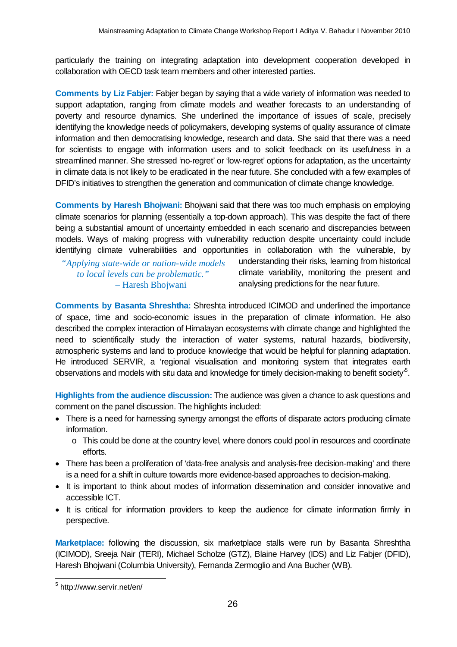particularly the training on integrating adaptation into development cooperation developed in collaboration with OECD task team members and other interested parties.

**Comments by Liz Fabjer:** Fabjer began by saying that a wide variety of information was needed to support adaptation, ranging from climate models and weather forecasts to an understanding of poverty and resource dynamics. She underlined the importance of issues of scale, precisely identifying the knowledge needs of policymakers, developing systems of quality assurance of climate information and then democratising knowledge, research and data. She said that there was a need for scientists to engage with information users and to solicit feedback on its usefulness in a streamlined manner. She stressed 'no-regret' or 'low-regret' options for adaptation, as the uncertainty in climate data is not likely to be eradicated in the near future. She concluded with a few examples of DFID's initiatives to strengthen the generation and communication of climate change knowledge.

**Comments by Haresh Bhojwani:** Bhojwani said that there was too much emphasis on employing climate scenarios for planning (essentially a top-down approach). This was despite the fact of there being a substantial amount of uncertainty embedded in each scenario and discrepancies between models. Ways of making progress with vulnerability reduction despite uncertainty could include identifying climate vulnerabilities and opportunities in collaboration with the vulnerable, by

*"Applying state-wide or nation-wide models to local levels can be problematic."* – Haresh Bhojwani

understanding their risks, learning from historical climate variability, monitoring the present and analysing predictions for the near future.

**Comments by Basanta Shreshtha:** Shreshta introduced ICIMOD and underlined the importance of space, time and socio-economic issues in the preparation of climate information. He also described the complex interaction of Himalayan ecosystems with climate change and highlighted the need to scientifically study the interaction of water systems, natural hazards, biodiversity, atmospheric systems and land to produce knowledge that would be helpful for planning adaptation. He introduced SERVIR, a 'regional visualisation and monitoring system that integrates earth observations and models with situ data and knowledge for timely decision-making to benefit society<sup>5</sup>.

**Highlights from the audience discussion:** The audience was given a chance to ask questions and comment on the panel discussion. The highlights included:

- There is a need for harnessing synergy amongst the efforts of disparate actors producing climate information.
	- o This could be done at the country level, where donors could pool in resources and coordinate efforts.
- There has been a proliferation of 'data-free analysis and analysis-free decision-making' and there is a need for a shift in culture towards more evidence-based approaches to decision-making.
- It is important to think about modes of information dissemination and consider innovative and accessible ICT.
- It is critical for information providers to keep the audience for climate information firmly in perspective.

**Marketplace:** following the discussion, six marketplace stalls were run by Basanta Shreshtha (ICIMOD), Sreeja Nair (TERI), Michael Scholze (GTZ), Blaine Harvey (IDS) and Liz Fabjer (DFID), Haresh Bhojwani (Columbia University), Fernanda Zermoglio and Ana Bucher (WB).

<sup>&</sup>lt;sub>5</sub><br><sup>5</sup> http://www.servir.net/en/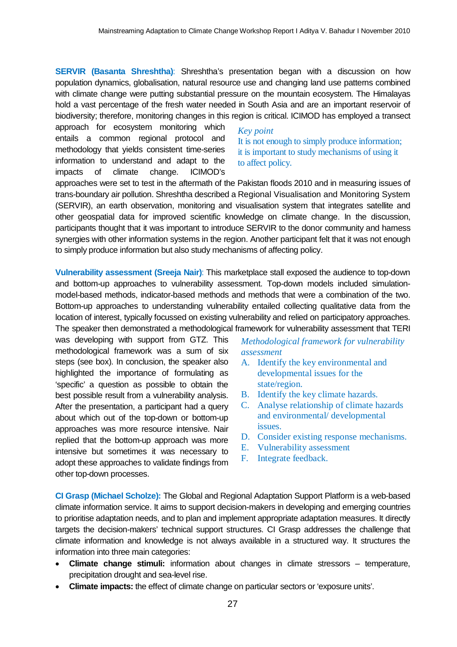**SERVIR (Basanta Shreshtha)**: Shreshtha's presentation began with a discussion on how population dynamics, globalisation, natural resource use and changing land use patterns combined with climate change were putting substantial pressure on the mountain ecosystem. The Himalayas hold a vast percentage of the fresh water needed in South Asia and are an important reservoir of biodiversity; therefore, monitoring changes in this region is critical. ICIMOD has employed a transect

approach for ecosystem monitoring which entails a common regional protocol and methodology that yields consistent time-series information to understand and adapt to the impacts of climate change. ICIMOD's

## *Key point* It is not enough to simply produce information; it is important to study mechanisms of using it to affect policy.

approaches were set to test in the aftermath of the Pakistan floods 2010 and in measuring issues of trans-boundary air pollution. Shreshtha described a Regional Visualisation and Monitoring System (SERVIR), an earth observation, monitoring and visualisation system that integrates satellite and other geospatial data for improved scientific knowledge on climate change. In the discussion, participants thought that it was important to introduce SERVIR to the donor community and harness synergies with other information systems in the region. Another participant felt that it was not enough to simply produce information but also study mechanisms of affecting policy.

**Vulnerability assessment (Sreeja Nair)**: This marketplace stall exposed the audience to top-down and bottom-up approaches to vulnerability assessment. Top-down models included simulationmodel-based methods, indicator-based methods and methods that were a combination of the two. Bottom-up approaches to understanding vulnerability entailed collecting qualitative data from the location of interest, typically focussed on existing vulnerability and relied on participatory approaches. The speaker then demonstrated a methodological framework for vulnerability assessment that TERI

was developing with support from GTZ. This methodological framework was a sum of six steps (see box). In conclusion, the speaker also highlighted the importance of formulating as 'specific' a question as possible to obtain the best possible result from a vulnerability analysis. After the presentation, a participant had a query about which out of the top-down or bottom-up approaches was more resource intensive. Nair replied that the bottom-up approach was more intensive but sometimes it was necessary to adopt these approaches to validate findings from other top-down processes.

*Methodological framework for vulnerability assessment*

- A. Identify the key environmental and developmental issues for the state/region.
- B. Identify the key climate hazards.
- C. Analyse relationship of climate hazards and environmental/ developmental issues.
- D. Consider existing response mechanisms.
- E. Vulnerability assessment
- F. Integrate feedback.

**CI Grasp (Michael Scholze):** The Global and Regional Adaptation Support Platform is a web-based climate information service. It aims to support decision-makers in developing and emerging countries to prioritise adaptation needs, and to plan and implement appropriate adaptation measures. It directly targets the decision-makers' technical support structures. CI Grasp addresses the challenge that climate information and knowledge is not always available in a structured way. It structures the information into three main categories:

- **Climate change stimuli:** information about changes in climate stressors temperature, precipitation drought and sea-level rise.
- **Climate impacts:** the effect of climate change on particular sectors or 'exposure units'.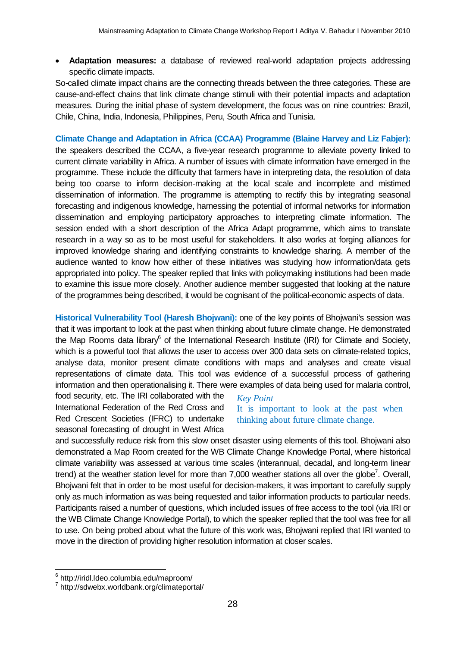**Adaptation measures:** a database of reviewed real-world adaptation projects addressing specific climate impacts.

So-called climate impact chains are the connecting threads between the three categories. These are cause-and-effect chains that link climate change stimuli with their potential impacts and adaptation measures. During the initial phase of system development, the focus was on nine countries: Brazil, Chile, China, India, Indonesia, Philippines, Peru, South Africa and Tunisia.

**Climate Change and Adaptation in Africa (CCAA) Programme (Blaine Harvey and Liz Fabjer):** the speakers described the CCAA, a five-year research programme to alleviate poverty linked to current climate variability in Africa. A number of issues with climate information have emerged in the programme. These include the difficulty that farmers have in interpreting data, the resolution of data being too coarse to inform decision-making at the local scale and incomplete and mistimed dissemination of information. The programme is attempting to rectify this by integrating seasonal forecasting and indigenous knowledge, harnessing the potential of informal networks for information dissemination and employing participatory approaches to interpreting climate information. The session ended with a short description of the Africa Adapt programme, which aims to translate research in a way so as to be most useful for stakeholders. It also works at forging alliances for improved knowledge sharing and identifying constraints to knowledge sharing. A member of the audience wanted to know how either of these initiatives was studying how information/data gets appropriated into policy. The speaker replied that links with policymaking institutions had been made to examine this issue more closely. Another audience member suggested that looking at the nature of the programmes being described, it would be cognisant of the political-economic aspects of data.

**Historical Vulnerability Tool (Haresh Bhojwani):** one of the key points of Bhojwani's session was that it was important to look at the past when thinking about future climate change. He demonstrated the Map Rooms data library<sup>6</sup> of the International Research Institute (IRI) for Climate and Society, which is a powerful tool that allows the user to access over 300 data sets on climate-related topics, analyse data, monitor present climate conditions with maps and analyses and create visual representations of climate data. This tool was evidence of a successful process of gathering information and then operationalising it. There were examples of data being used for malaria control,

food security, etc. The IRI collaborated with the International Federation of the Red Cross and Red Crescent Societies (IFRC) to undertake seasonal forecasting of drought in West Africa

# *Key Point*

It is important to look at the past when thinking about future climate change.

and successfully reduce risk from this slow onset disaster using elements of this tool. Bhojwani also demonstrated a Map Room created for the WB Climate Change Knowledge Portal, where historical climate variability was assessed at various time scales (interannual, decadal, and long-term linear trend) at the weather station level for more than 7,000 weather stations all over the globe<sup>7</sup>. Overall, Bhojwani felt that in order to be most useful for decision-makers, it was important to carefully supply only as much information as was being requested and tailor information products to particular needs. Participants raised a number of questions, which included issues of free access to the tool (via IRI or the WB Climate Change Knowledge Portal), to which the speaker replied that the tool was free for all to use. On being probed about what the future of this work was, Bhojwani replied that IRI wanted to move in the direction of providing higher resolution information at closer scales.

 6 http://iridl.ldeo.columbia.edu/maproom/

<sup>&</sup>lt;sup>7</sup> http://sdwebx.worldbank.org/climateportal/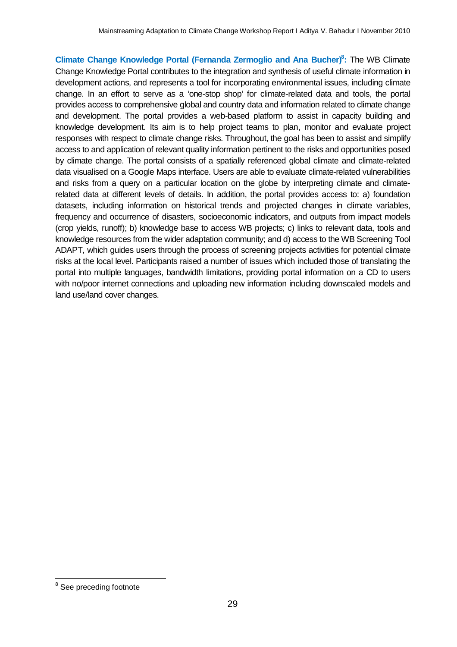**Climate Change Knowledge Portal (Fernanda Zermoglio and Ana Bucher)<sup>8</sup> :** The WB Climate Change Knowledge Portal contributes to the integration and synthesis of useful climate information in development actions, and represents a tool for incorporating environmental issues, including climate change. In an effort to serve as a 'one-stop shop' for climate-related data and tools, the portal provides access to comprehensive global and country data and information related to climate change and development. The portal provides a web-based platform to assist in capacity building and knowledge development. Its aim is to help project teams to plan, monitor and evaluate project responses with respect to climate change risks. Throughout, the goal has been to assist and simplify access to and application of relevant quality information pertinent to the risks and opportunities posed by climate change. The portal consists of a spatially referenced global climate and climate-related data visualised on a Google Maps interface. Users are able to evaluate climate-related vulnerabilities and risks from a query on a particular location on the globe by interpreting climate and climaterelated data at different levels of details. In addition, the portal provides access to: a) foundation datasets, including information on historical trends and projected changes in climate variables, frequency and occurrence of disasters, socioeconomic indicators, and outputs from impact models (crop yields, runoff); b) knowledge base to access WB projects; c) links to relevant data, tools and knowledge resources from the wider adaptation community; and d) access to the WB Screening Tool ADAPT, which guides users through the process of screening projects activities for potential climate risks at the local level. Participants raised a number of issues which included those of translating the portal into multiple languages, bandwidth limitations, providing portal information on a CD to users with no/poor internet connections and uploading new information including downscaled models and land use/land cover changes.

 $\overline{a}$ <sup>8</sup> See preceding footnote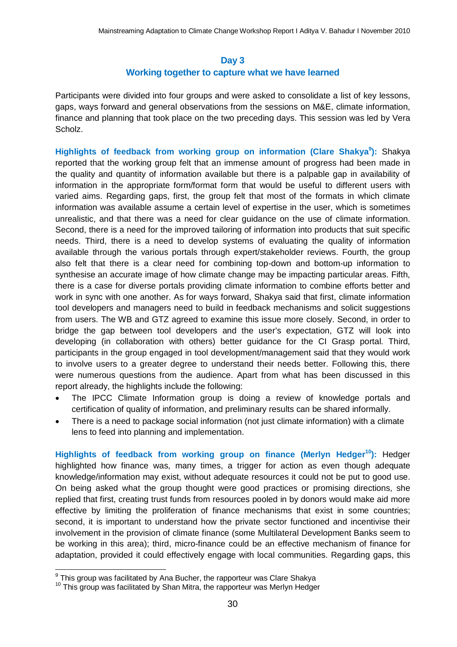# **Day 3 Working together to capture what we have learned**

Participants were divided into four groups and were asked to consolidate a list of key lessons, gaps, ways forward and general observations from the sessions on M&E, climate information, finance and planning that took place on the two preceding days. This session was led by Vera Scholz.

Highlights of feedback from working group on information (Clare Shakya<sup>9</sup>): Shakya reported that the working group felt that an immense amount of progress had been made in the quality and quantity of information available but there is a palpable gap in availability of information in the appropriate form/format form that would be useful to different users with varied aims. Regarding gaps, first, the group felt that most of the formats in which climate information was available assume a certain level of expertise in the user, which is sometimes unrealistic, and that there was a need for clear guidance on the use of climate information. Second, there is a need for the improved tailoring of information into products that suit specific needs. Third, there is a need to develop systems of evaluating the quality of information available through the various portals through expert/stakeholder reviews. Fourth, the group also felt that there is a clear need for combining top-down and bottom-up information to synthesise an accurate image of how climate change may be impacting particular areas. Fifth, there is a case for diverse portals providing climate information to combine efforts better and work in sync with one another. As for ways forward, Shakya said that first, climate information tool developers and managers need to build in feedback mechanisms and solicit suggestions from users. The WB and GTZ agreed to examine this issue more closely. Second, in order to bridge the gap between tool developers and the user's expectation, GTZ will look into developing (in collaboration with others) better guidance for the CI Grasp portal. Third, participants in the group engaged in tool development/management said that they would work to involve users to a greater degree to understand their needs better. Following this, there were numerous questions from the audience. Apart from what has been discussed in this report already, the highlights include the following:

- The IPCC Climate Information group is doing a review of knowledge portals and certification of quality of information, and preliminary results can be shared informally.
- There is a need to package social information (not just climate information) with a climate lens to feed into planning and implementation.

**Highlights of feedback from working group on finance (Merlyn Hedger<sup>10</sup>):** Hedger highlighted how finance was, many times, a trigger for action as even though adequate knowledge/information may exist, without adequate resources it could not be put to good use. On being asked what the group thought were good practices or promising directions, she replied that first, creating trust funds from resources pooled in by donors would make aid more effective by limiting the proliferation of finance mechanisms that exist in some countries; second, it is important to understand how the private sector functioned and incentivise their involvement in the provision of climate finance (some Multilateral Development Banks seem to be working in this area); third, micro-finance could be an effective mechanism of finance for adaptation, provided it could effectively engage with local communities. Regarding gaps, this

 9 This group was facilitated by Ana Bucher, the rapporteur was Clare Shakya

<sup>&</sup>lt;sup>10</sup> This group was facilitated by Shan Mitra, the rapporteur was Merlyn Hedger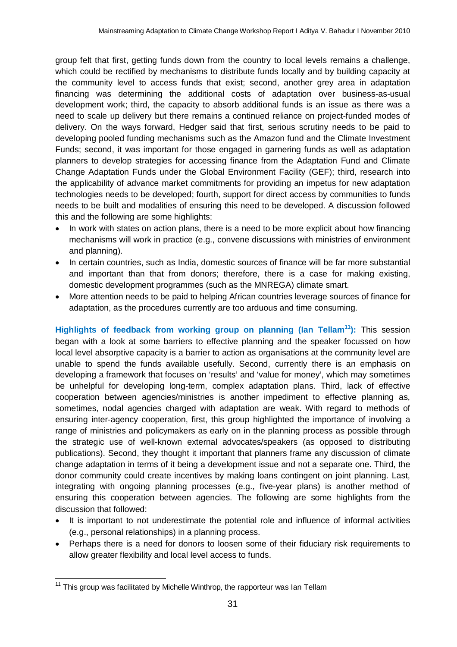group felt that first, getting funds down from the country to local levels remains a challenge, which could be rectified by mechanisms to distribute funds locally and by building capacity at the community level to access funds that exist; second, another grey area in adaptation financing was determining the additional costs of adaptation over business-as-usual development work; third, the capacity to absorb additional funds is an issue as there was a need to scale up delivery but there remains a continued reliance on project-funded modes of delivery. On the ways forward, Hedger said that first, serious scrutiny needs to be paid to developing pooled funding mechanisms such as the Amazon fund and the Climate Investment Funds; second, it was important for those engaged in garnering funds as well as adaptation planners to develop strategies for accessing finance from the Adaptation Fund and Climate Change Adaptation Funds under the Global Environment Facility (GEF); third, research into the applicability of advance market commitments for providing an impetus for new adaptation technologies needs to be developed; fourth, support for direct access by communities to funds needs to be built and modalities of ensuring this need to be developed. A discussion followed this and the following are some highlights:

- In work with states on action plans, there is a need to be more explicit about how financing mechanisms will work in practice (e.g., convene discussions with ministries of environment and planning).
- In certain countries, such as India, domestic sources of finance will be far more substantial and important than that from donors; therefore, there is a case for making existing, domestic development programmes (such as the MNREGA) climate smart.
- More attention needs to be paid to helping African countries leverage sources of finance for adaptation, as the procedures currently are too arduous and time consuming.

**Highlights of feedback from working group on planning (Ian Tellam<sup>11</sup>):** This session began with a look at some barriers to effective planning and the speaker focussed on how local level absorptive capacity is a barrier to action as organisations at the community level are unable to spend the funds available usefully. Second, currently there is an emphasis on developing a framework that focuses on 'results' and 'value for money', which may sometimes be unhelpful for developing long-term, complex adaptation plans. Third, lack of effective cooperation between agencies/ministries is another impediment to effective planning as, sometimes, nodal agencies charged with adaptation are weak. With regard to methods of ensuring inter-agency cooperation, first, this group highlighted the importance of involving a range of ministries and policymakers as early on in the planning process as possible through the strategic use of well-known external advocates/speakers (as opposed to distributing publications). Second, they thought it important that planners frame any discussion of climate change adaptation in terms of it being a development issue and not a separate one. Third, the donor community could create incentives by making loans contingent on joint planning. Last, integrating with ongoing planning processes (e.g., five-year plans) is another method of ensuring this cooperation between agencies. The following are some highlights from the discussion that followed:

- It is important to not underestimate the potential role and influence of informal activities (e.g., personal relationships) in a planning process.
- Perhaps there is a need for donors to loosen some of their fiduciary risk requirements to allow greater flexibility and local level access to funds.

  $11$  This group was facilitated by Michelle Winthrop, the rapporteur was Ian Tellam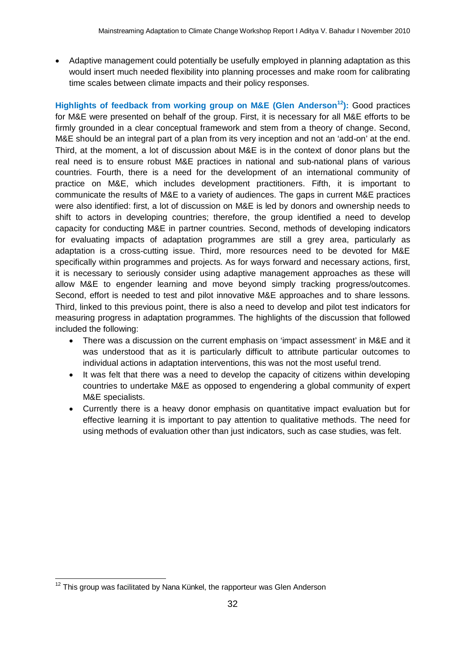Adaptive management could potentially be usefully employed in planning adaptation as this would insert much needed flexibility into planning processes and make room for calibrating time scales between climate impacts and their policy responses.

**Highlights of feedback from working group on M&E (Glen Anderson<sup>12</sup>):** Good practices for M&E were presented on behalf of the group. First, it is necessary for all M&E efforts to be firmly grounded in a clear conceptual framework and stem from a theory of change. Second, M&E should be an integral part of a plan from its very inception and not an 'add-on' at the end. Third, at the moment, a lot of discussion about M&E is in the context of donor plans but the real need is to ensure robust M&E practices in national and sub-national plans of various countries. Fourth, there is a need for the development of an international community of practice on M&E, which includes development practitioners. Fifth, it is important to communicate the results of M&E to a variety of audiences. The gaps in current M&E practices were also identified: first, a lot of discussion on M&E is led by donors and ownership needs to shift to actors in developing countries; therefore, the group identified a need to develop capacity for conducting M&E in partner countries. Second, methods of developing indicators for evaluating impacts of adaptation programmes are still a grey area, particularly as adaptation is a cross-cutting issue. Third, more resources need to be devoted for M&E specifically within programmes and projects. As for ways forward and necessary actions, first, it is necessary to seriously consider using adaptive management approaches as these will allow M&E to engender learning and move beyond simply tracking progress/outcomes. Second, effort is needed to test and pilot innovative M&E approaches and to share lessons. Third, linked to this previous point, there is also a need to develop and pilot test indicators for measuring progress in adaptation programmes. The highlights of the discussion that followed included the following:

- There was a discussion on the current emphasis on 'impact assessment' in M&E and it was understood that as it is particularly difficult to attribute particular outcomes to individual actions in adaptation interventions, this was not the most useful trend.
- It was felt that there was a need to develop the capacity of citizens within developing countries to undertake M&E as opposed to engendering a global community of expert M&E specialists.
- Currently there is a heavy donor emphasis on quantitative impact evaluation but for effective learning it is important to pay attention to qualitative methods. The need for using methods of evaluation other than just indicators, such as case studies, was felt.

  $12$  This group was facilitated by Nana Künkel, the rapporteur was Glen Anderson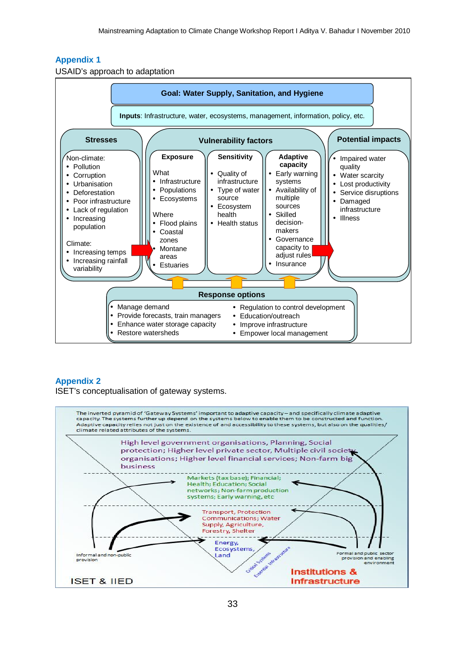# **Appendix 1**

USAID's approach to adaptation



## **Appendix 2**

ISET's conceptualisation of gateway systems.